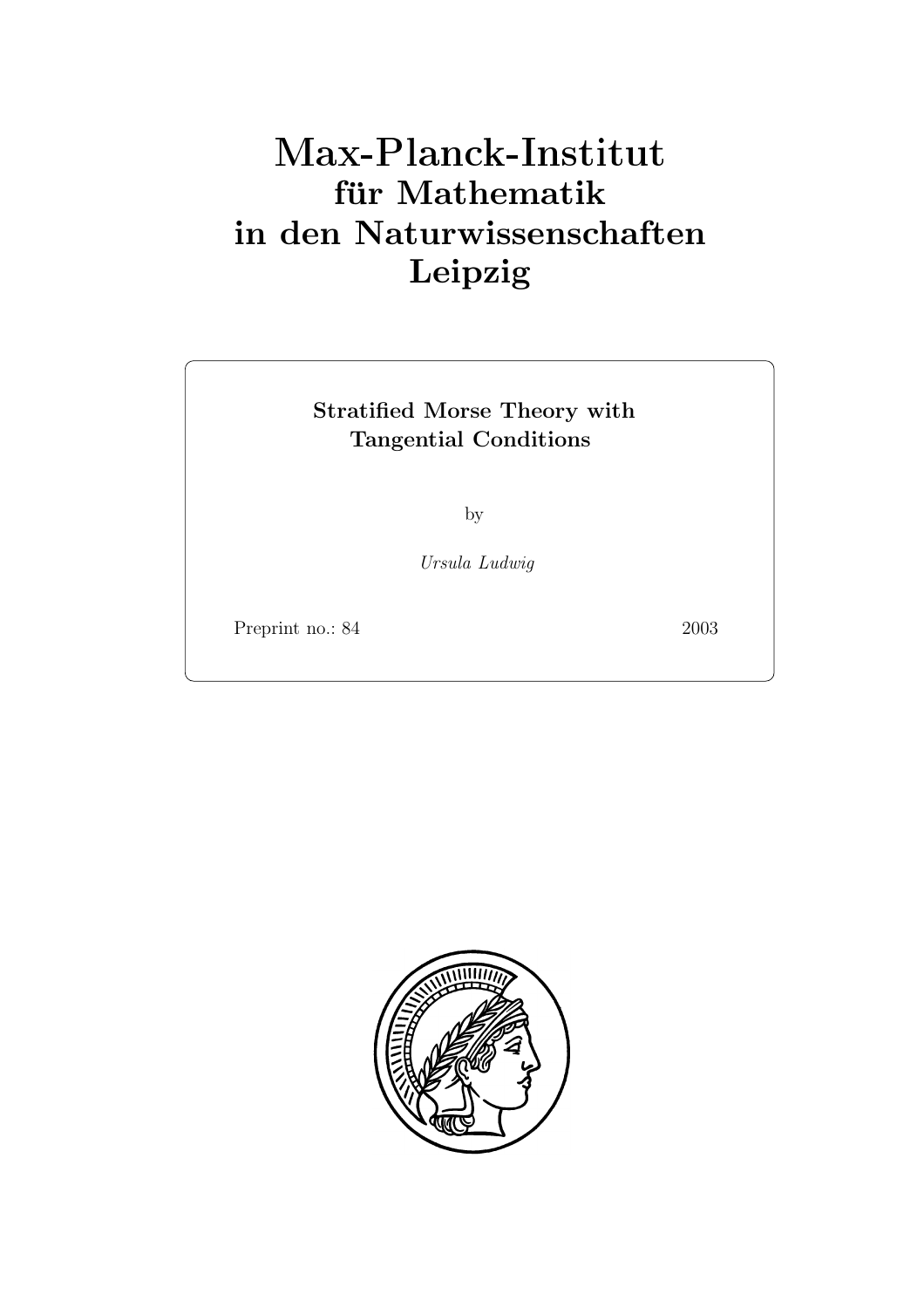# **für Mathematik in den Naturwissenschaften Leipzig**

## **Stratified Morse Theory with Tangential Conditions**

by

*Ursula Ludwig*

Preprint no.: 84 2003

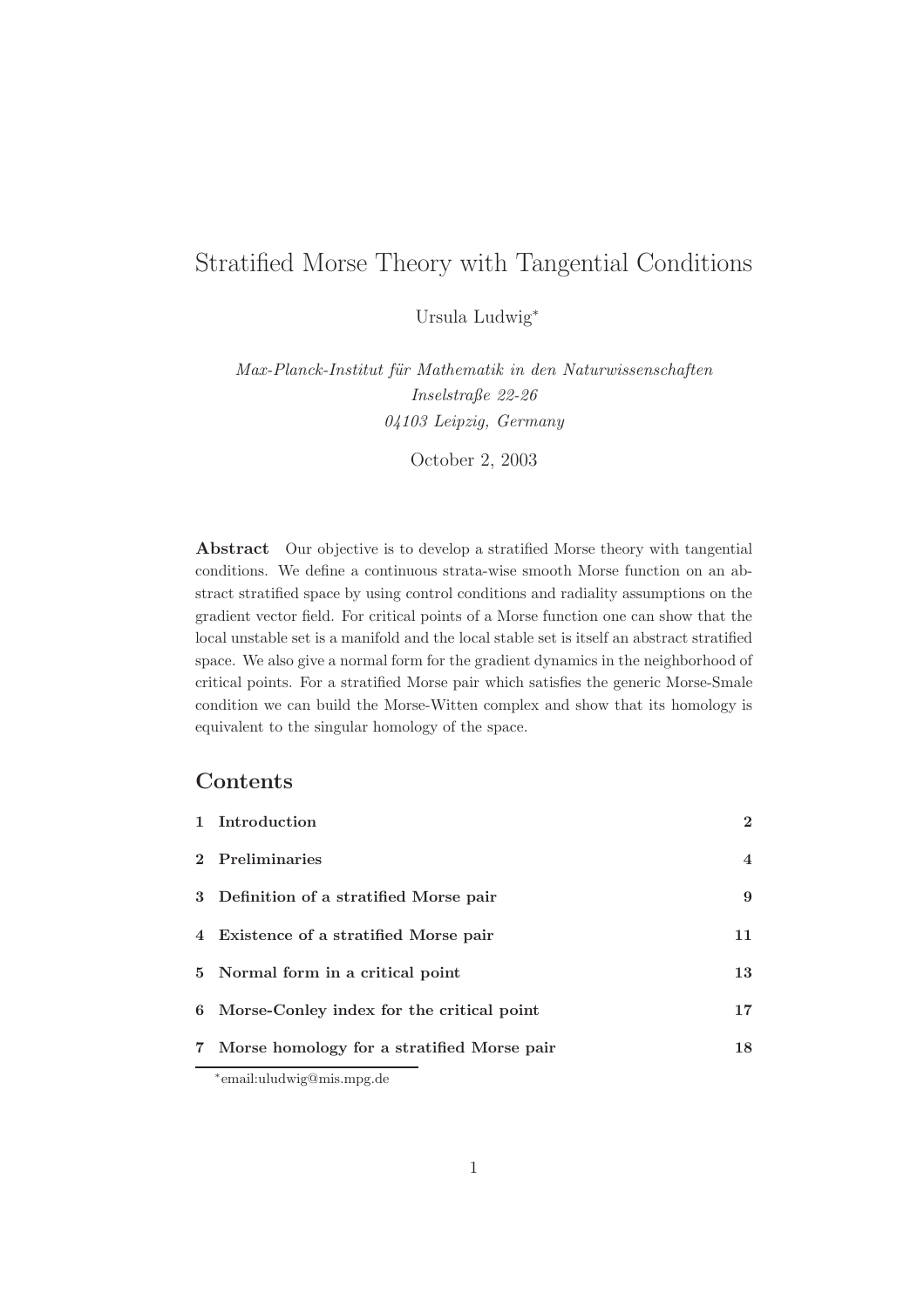### Stratified Morse Theory with Tangential Conditions

Ursula Ludwig<sup>∗</sup>

*Max-Planck-Institut f¨ur Mathematik in den Naturwissenschaften Inselstraße 22-26 04103 Leipzig, Germany*

October 2, 2003

**Abstract** Our objective is to develop a stratified Morse theory with tangential conditions. We define a continuous strata-wise smooth Morse function on an abstract stratified space by using control conditions and radiality assumptions on the gradient vector field. For critical points of a Morse function one can show that the local unstable set is a manifold and the local stable set is itself an abstract stratified space. We also give a normal form for the gradient dynamics in the neighborhood of critical points. For a stratified Morse pair which satisfies the generic Morse-Smale condition we can build the Morse-Witten complex and show that its homology is equivalent to the singular homology of the space.

#### **Contents**

| 1 Introduction                               | $\mathbf{2}$   |  |
|----------------------------------------------|----------------|--|
| 2 Preliminaries                              | $\overline{4}$ |  |
| 3 Definition of a stratified Morse pair      | 9              |  |
| 4 Existence of a stratified Morse pair       | 11             |  |
| 5 Normal form in a critical point            | 13             |  |
| 6 Morse-Conley index for the critical point  | 17             |  |
| 7 Morse homology for a stratified Morse pair | 18             |  |
| $\cdots$                                     |                |  |

<sup>∗</sup>email:uludwig@mis.mpg.de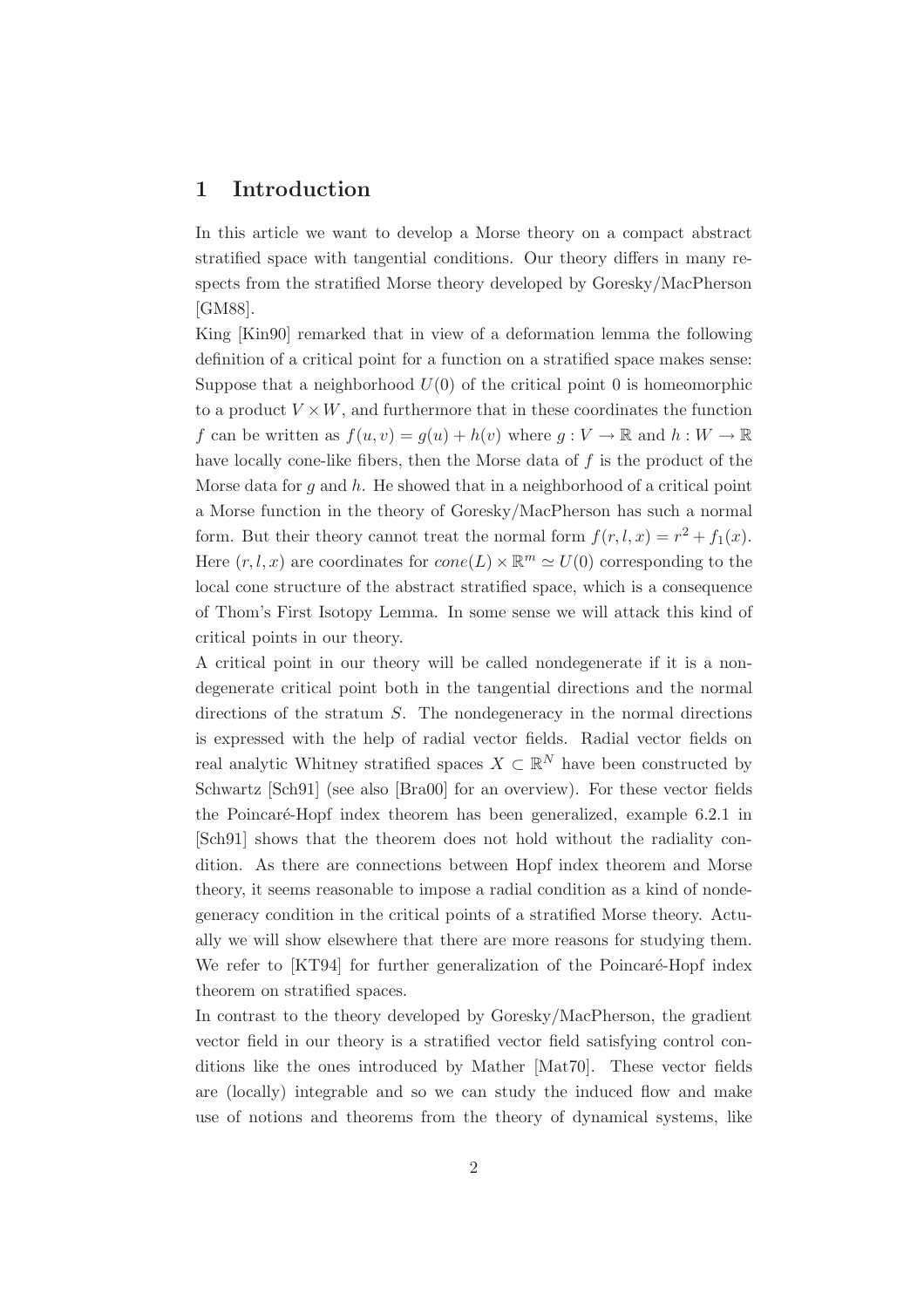#### **1 Introduction**

In this article we want to develop a Morse theory on a compact abstract stratified space with tangential conditions. Our theory differs in many respects from the stratified Morse theory developed by Goresky/MacPherson [GM88].

King [Kin90] remarked that in view of a deformation lemma the following definition of a critical point for a function on a stratified space makes sense: Suppose that a neighborhood  $U(0)$  of the critical point 0 is homeomorphic to a product  $V \times W$ , and furthermore that in these coordinates the function f can be written as  $f(u, v) = g(u) + h(v)$  where  $g: V \to \mathbb{R}$  and  $h: W \to \mathbb{R}$ have locally cone-like fibers, then the Morse data of  $f$  is the product of the Morse data for g and  $h$ . He showed that in a neighborhood of a critical point a Morse function in the theory of Goresky/MacPherson has such a normal form. But their theory cannot treat the normal form  $f(r, l, x) = r^2 + f_1(x)$ . Here  $(r, l, x)$  are coordinates for  $cone(L) \times \mathbb{R}^m \simeq U(0)$  corresponding to the local cone structure of the abstract stratified space, which is a consequence of Thom's First Isotopy Lemma. In some sense we will attack this kind of critical points in our theory.

A critical point in our theory will be called nondegenerate if it is a nondegenerate critical point both in the tangential directions and the normal directions of the stratum S. The nondegeneracy in the normal directions is expressed with the help of radial vector fields. Radial vector fields on real analytic Whitney stratified spaces  $X \subset \mathbb{R}^N$  have been constructed by Schwartz [Sch91] (see also [Bra00] for an overview). For these vector fields the Poincaré-Hopf index theorem has been generalized, example 6.2.1 in [Sch91] shows that the theorem does not hold without the radiality condition. As there are connections between Hopf index theorem and Morse theory, it seems reasonable to impose a radial condition as a kind of nondegeneracy condition in the critical points of a stratified Morse theory. Actually we will show elsewhere that there are more reasons for studying them. We refer to [KT94] for further generalization of the Poincaré-Hopf index theorem on stratified spaces.

In contrast to the theory developed by Goresky/MacPherson, the gradient vector field in our theory is a stratified vector field satisfying control conditions like the ones introduced by Mather [Mat70]. These vector fields are (locally) integrable and so we can study the induced flow and make use of notions and theorems from the theory of dynamical systems, like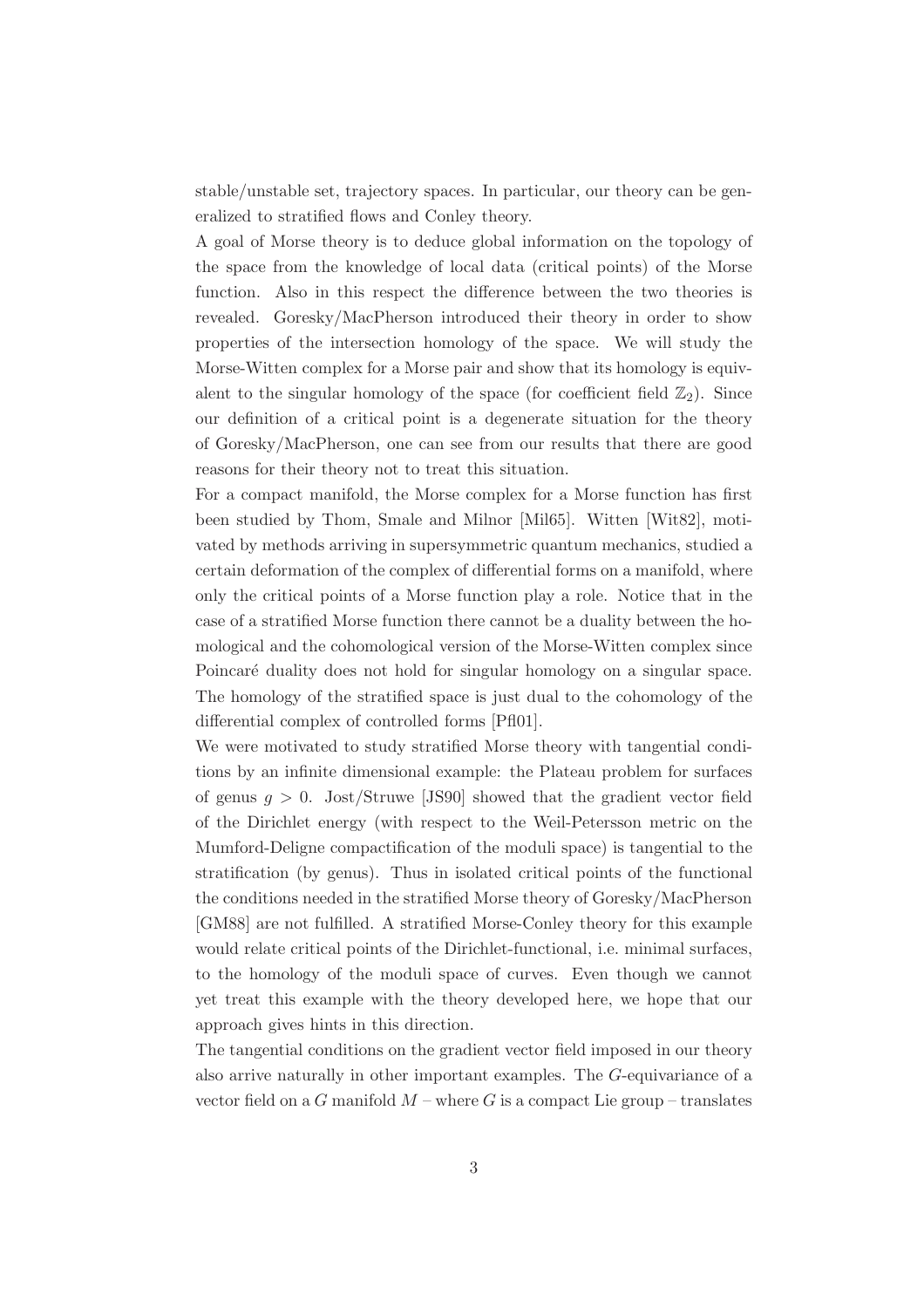stable/unstable set, trajectory spaces. In particular, our theory can be generalized to stratified flows and Conley theory.

A goal of Morse theory is to deduce global information on the topology of the space from the knowledge of local data (critical points) of the Morse function. Also in this respect the difference between the two theories is revealed. Goresky/MacPherson introduced their theory in order to show properties of the intersection homology of the space. We will study the Morse-Witten complex for a Morse pair and show that its homology is equivalent to the singular homology of the space (for coefficient field  $\mathbb{Z}_2$ ). Since our definition of a critical point is a degenerate situation for the theory of Goresky/MacPherson, one can see from our results that there are good reasons for their theory not to treat this situation.

For a compact manifold, the Morse complex for a Morse function has first been studied by Thom, Smale and Milnor [Mil65]. Witten [Wit82], motivated by methods arriving in supersymmetric quantum mechanics, studied a certain deformation of the complex of differential forms on a manifold, where only the critical points of a Morse function play a role. Notice that in the case of a stratified Morse function there cannot be a duality between the homological and the cohomological version of the Morse-Witten complex since Poincaré duality does not hold for singular homology on a singular space. The homology of the stratified space is just dual to the cohomology of the differential complex of controlled forms [Pfl01].

We were motivated to study stratified Morse theory with tangential conditions by an infinite dimensional example: the Plateau problem for surfaces of genus  $q > 0$ . Jost/Struwe [JS90] showed that the gradient vector field of the Dirichlet energy (with respect to the Weil-Petersson metric on the Mumford-Deligne compactification of the moduli space) is tangential to the stratification (by genus). Thus in isolated critical points of the functional the conditions needed in the stratified Morse theory of Goresky/MacPherson [GM88] are not fulfilled. A stratified Morse-Conley theory for this example would relate critical points of the Dirichlet-functional, i.e. minimal surfaces, to the homology of the moduli space of curves. Even though we cannot yet treat this example with the theory developed here, we hope that our approach gives hints in this direction.

The tangential conditions on the gradient vector field imposed in our theory also arrive naturally in other important examples. The G-equivariance of a vector field on a G manifold  $M$  – where G is a compact Lie group – translates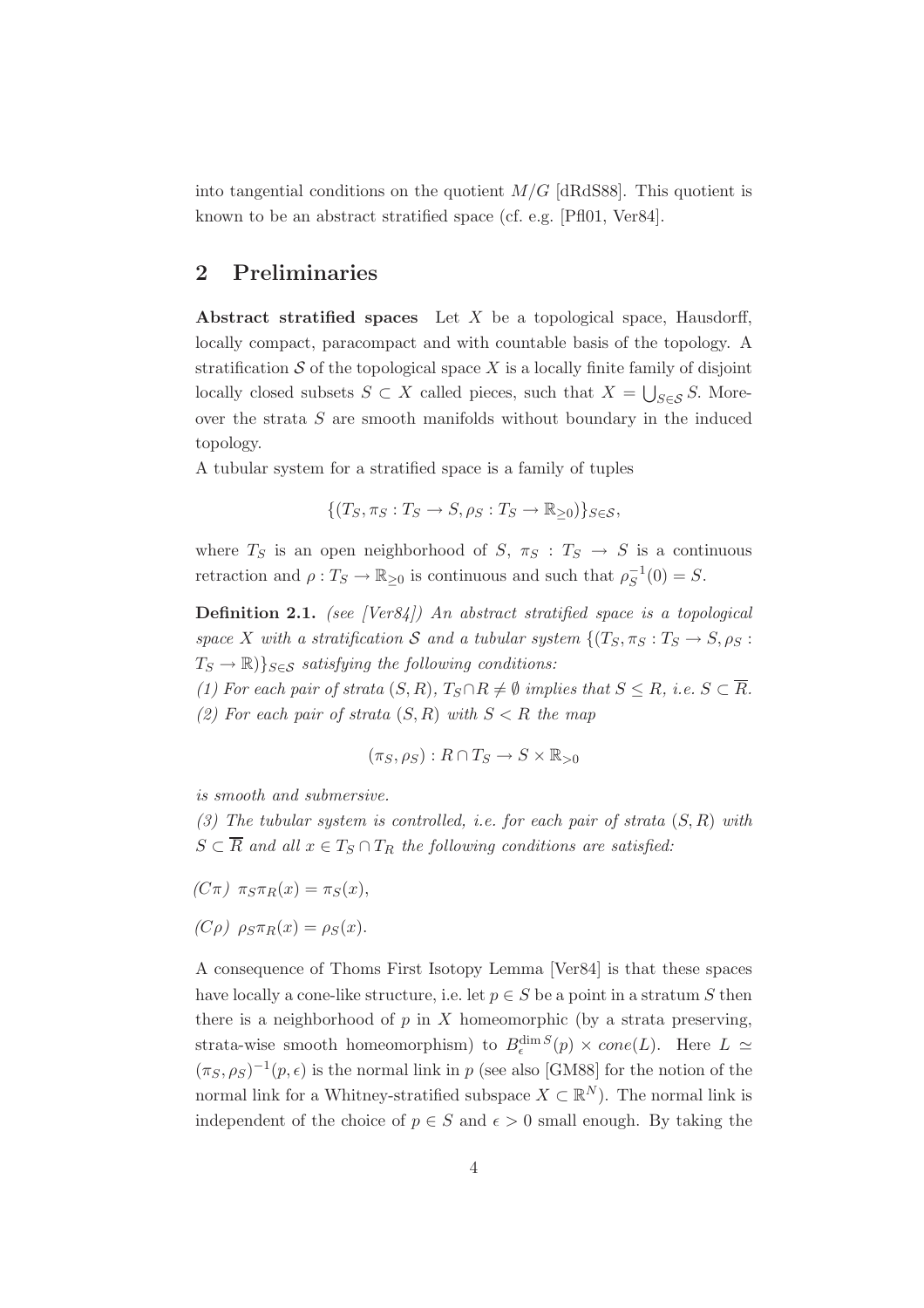into tangential conditions on the quotient  $M/G$  [dRdS88]. This quotient is known to be an abstract stratified space (cf. e.g. [Pfl01, Ver84].

#### **2 Preliminaries**

**Abstract stratified spaces** Let X be a topological space, Hausdorff, locally compact, paracompact and with countable basis of the topology. A stratification  $S$  of the topological space X is a locally finite family of disjoint locally closed subsets  $S \subset X$  called pieces, such that  $X = \bigcup_{S \in \mathcal{S}} S$ . Moreover the strata S are smooth manifolds without boundary in the induced topology.

A tubular system for a stratified space is a family of tuples

$$
\{(T_S, \pi_S: T_S \to S, \rho_S: T_S \to \mathbb{R}_{\geq 0})\}_{S \in \mathcal{S}},
$$

where  $T_S$  is an open neighborhood of  $S$ ,  $\pi_S : T_S \to S$  is a continuous retraction and  $\rho: T_S \to \mathbb{R}_{\geq 0}$  is continuous and such that  $\rho_S^{-1}(0) = S$ .

**Definition 2.1.** *(see [Ver84]) An abstract stratified space is a topological space* X with a stratification S and a tubular system  $\{(T_S, \pi_S : T_S \to S, \rho_S :$  $T_S \to \mathbb{R}$ ) $\}_{S \in \mathcal{S}}$  *satisfying the following conditions:* 

*(1) For each pair of strata*  $(S, R)$ ,  $T_S \cap R \neq \emptyset$  *implies that*  $S \leq R$ *, i.e.*  $S \subset \overline{R}$ *.* (2) For each pair of strata  $(S, R)$  with  $S < R$  the map

$$
(\pi_S, \rho_S) : R \cap T_S \to S \times \mathbb{R}_{>0}
$$

*is smooth and submersive.*

*(3) The tubular system is controlled, i.e. for each pair of strata* (S, R) *with*  $S \subset \overline{R}$  and all  $x \in T_S \cap T_R$  the following conditions are satisfied:

 $(C\pi)$   $\pi_S \pi_R(x) = \pi_S(x),$ 

$$
(C\rho) \ \rho_S \pi_R(x) = \rho_S(x).
$$

A consequence of Thoms First Isotopy Lemma [Ver84] is that these spaces have locally a cone-like structure, i.e. let  $p \in S$  be a point in a stratum S then there is a neighborhood of  $p$  in  $X$  homeomorphic (by a strata preserving, strata-wise smooth homeomorphism) to  $B_{\epsilon}^{\dim S}(p) \times cone(L)$ . Here  $L \simeq$  $(\pi_S, \rho_S)^{-1}(p, \epsilon)$  is the normal link in p (see also [GM88] for the notion of the normal link for a Whitney-stratified subspace  $X \subset \mathbb{R}^N$ ). The normal link is independent of the choice of  $p \in S$  and  $\epsilon > 0$  small enough. By taking the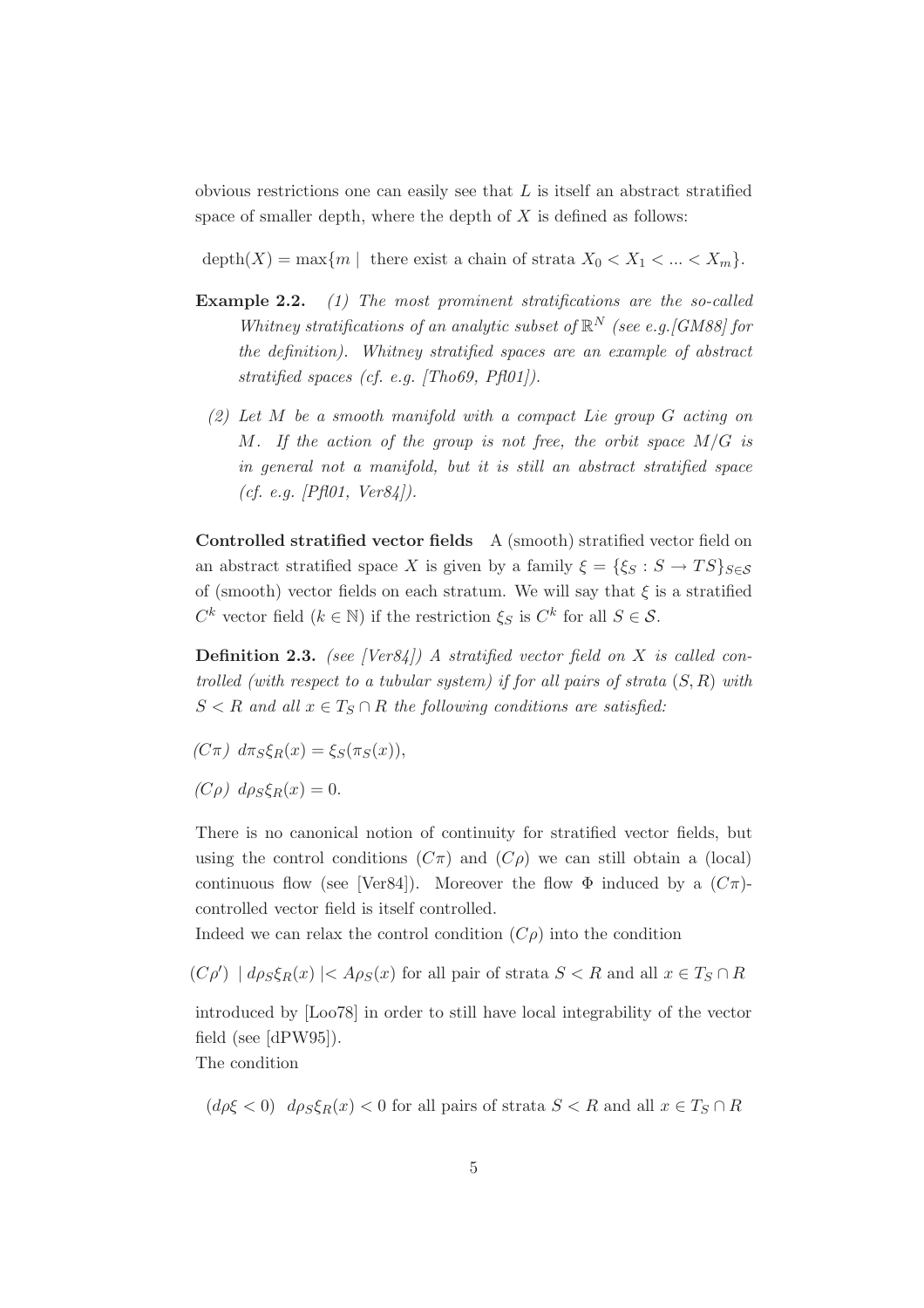obvious restrictions one can easily see that  $L$  is itself an abstract stratified space of smaller depth, where the depth of  $X$  is defined as follows:

depth $(X) = \max\{m \mid \text{there exist a chain of strata } X_0 < X_1 < \ldots < X_m\}.$ 

- **Example 2.2.** *(1) The most prominent stratifications are the so-called Whitney stratifications of an analytic subset of*  $\mathbb{R}^N$  *(see e.g. [GM88] for the definition). Whitney stratified spaces are an example of abstract stratified spaces (cf. e.g. [Tho69, Pfl01]).*
	- *(2) Let* M *be a smooth manifold with a compact Lie group* G *acting on* M*. If the action of the group is not free, the orbit space* M/G *is in general not a manifold, but it is still an abstract stratified space (cf. e.g. [Pfl01, Ver84]).*

**Controlled stratified vector fields** A (smooth) stratified vector field on an abstract stratified space X is given by a family  $\xi = {\xi_S : S \to TS}_{S \in S}$ of (smooth) vector fields on each stratum. We will say that  $\xi$  is a stratified  $C^k$  vector field  $(k \in \mathbb{N})$  if the restriction  $\xi_S$  is  $C^k$  for all  $S \in \mathcal{S}$ .

**Definition 2.3.** *(see [Ver84]) A stratified vector field on* X *is called controlled (with respect to a tubular system) if for all pairs of strata* (S, R) *with*  $S < R$  *and all*  $x \in T_S \cap R$  *the following conditions are satisfied:* 

- $(C\pi)$   $d\pi_S \xi_R(x) = \xi_S(\pi_S(x)),$
- $(C\rho)$  d $\rho_S \xi_R(x)=0$ .

There is no canonical notion of continuity for stratified vector fields, but using the control conditions  $(C\pi)$  and  $(C\rho)$  we can still obtain a (local) continuous flow (see [Ver84]). Moreover the flow  $\Phi$  induced by a  $(C\pi)$ controlled vector field is itself controlled.

Indeed we can relax the control condition  $(C\rho)$  into the condition

 $(C\rho') | d\rho_S \xi_R(x) | < A\rho_S(x)$  for all pair of strata  $S < R$  and all  $x \in T_S \cap R$ 

introduced by [Loo78] in order to still have local integrability of the vector field (see [dPW95]).

The condition

 $(d\rho\xi < 0)$   $d\rho_S\xi_R(x) < 0$  for all pairs of strata  $S < R$  and all  $x \in T_S \cap R$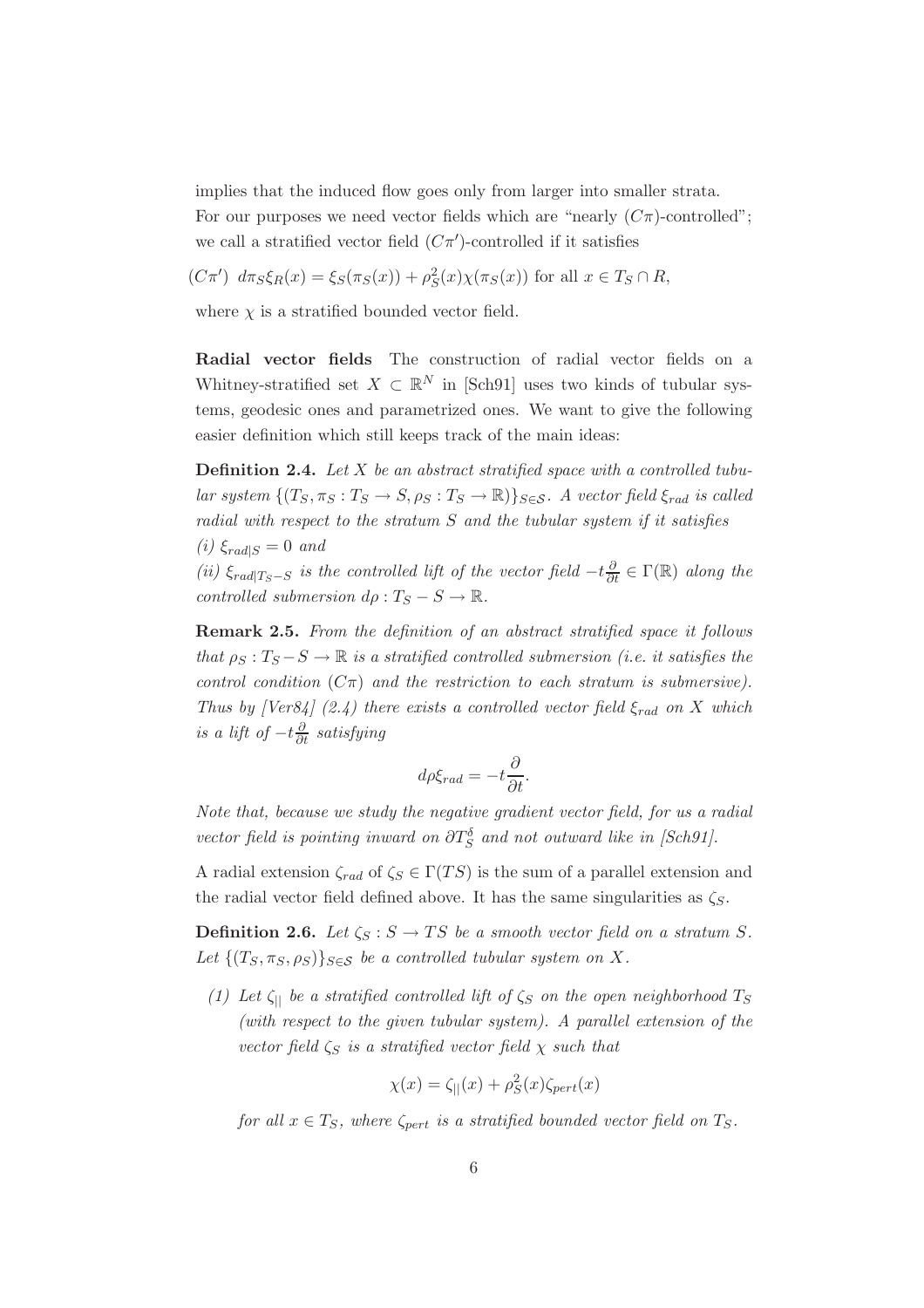implies that the induced flow goes only from larger into smaller strata.

For our purposes we need vector fields which are "nearly  $(C\pi)$ -controlled"; we call a stratified vector field  $(C\pi')$ -controlled if it satisfies

 $(C\pi')$   $d\pi_S \xi_R(x) = \xi_S(\pi_S(x)) + \rho_S^2(x)\chi(\pi_S(x))$  for all  $x \in T_S \cap R$ ,

where  $\chi$  is a stratified bounded vector field.

**Radial vector fields** The construction of radial vector fields on a Whitney-stratified set  $X \subset \mathbb{R}^N$  in [Sch91] uses two kinds of tubular systems, geodesic ones and parametrized ones. We want to give the following easier definition which still keeps track of the main ideas:

**Definition 2.4.** *Let* X *be an abstract stratified space with a controlled tubu* $lar system \{(T_S, \pi_S : T_S \to S, \rho_S : T_S \to \mathbb{R})\}_{S \in \mathcal{S}}$ . A vector field  $\xi_{rad}$  *is called radial with respect to the stratum* S *and the tubular system if it satisfies*  $(i) \xi_{rad|S} = 0$  *and* 

*(ii)*  $\xi_{rad|T_S-S}$  *is the controlled lift of the vector field*  $-t\frac{\partial}{\partial t} \in \Gamma(\mathbb{R})$  *along the controlled submersion*  $d\rho : T_S - S \to \mathbb{R}$ .

**Remark 2.5.** *From the definition of an abstract stratified space it follows that*  $\rho_S : T_S - S \to \mathbb{R}$  *is a stratified controlled submersion (i.e. it satisfies the control condition*  $(C\pi)$  *and the restriction to each stratum is submersive). Thus by [Ver84] (2.4) there exists a controlled vector field*  $\xi_{rad}$  *on* X which *is a lift of*  $-t\frac{\partial}{\partial t}$  *satisfying* 

$$
d\rho \xi_{rad} = -t \frac{\partial}{\partial t}.
$$

*Note that, because we study the negative gradient vector field, for us a radial vector field is pointing inward on*  $\partial T_S^{\delta}$  *and not outward like in [Sch91]*.

A radial extension  $\zeta_{rad}$  of  $\zeta_s \in \Gamma(TS)$  is the sum of a parallel extension and the radial vector field defined above. It has the same singularities as  $\zeta_s$ .

**Definition 2.6.** *Let*  $\zeta_S : S \to TS$  *be a smooth vector field on a stratum S.* Let  $\{(T_S, \pi_S, \rho_S)\}_{S \in \mathcal{S}}$  *be a controlled tubular system on* X.

*(1) Let*  $\zeta_{\parallel}$  *be a stratified controlled lift of*  $\zeta_{\text{S}}$  *on the open neighborhood*  $T_{\text{S}}$ *(with respect to the given tubular system). A parallel extension of the vector field*  $\zeta_s$  *is a stratified vector field*  $\chi$  *such that* 

$$
\chi(x) = \zeta_{||}(x) + \rho_S^2(x)\zeta_{pert}(x)
$$

*for all*  $x \in T_S$ *, where*  $\zeta_{pert}$  *is a stratified bounded vector field on*  $T_S$ *.*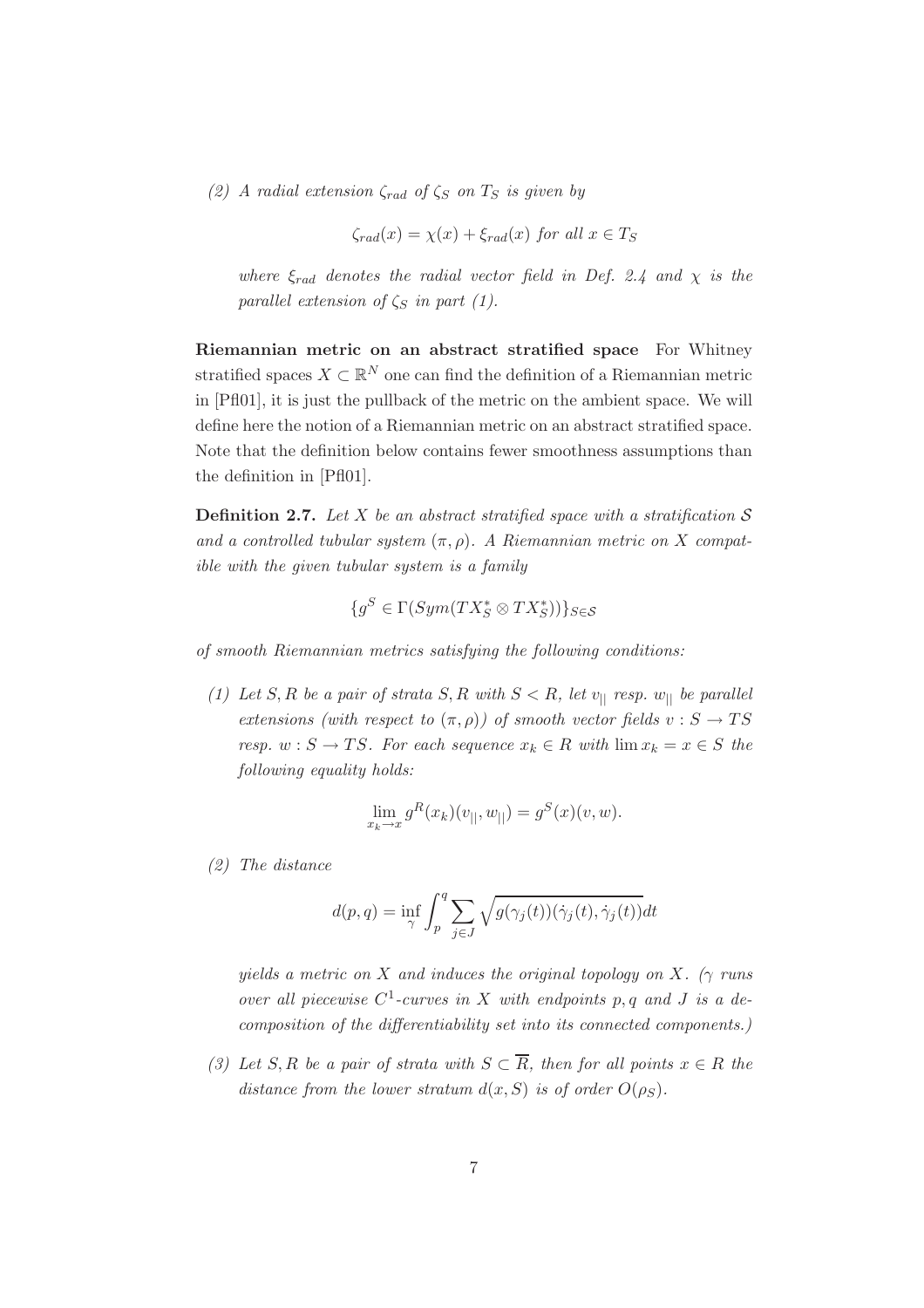*(2)* A radial extension  $\zeta_{rad}$  of  $\zeta_{S}$  on  $T_{S}$  is given by

$$
\zeta_{rad}(x) = \chi(x) + \xi_{rad}(x) \text{ for all } x \in T_S
$$

*where*  $\xi_{rad}$  *denotes the radial vector field in Def. 2.4 and*  $\chi$  *is the parallel extension of*  $\zeta_S$  *in part (1).* 

**Riemannian metric on an abstract stratified space** For Whitney stratified spaces  $X \subset \mathbb{R}^N$  one can find the definition of a Riemannian metric in [Pfl01], it is just the pullback of the metric on the ambient space. We will define here the notion of a Riemannian metric on an abstract stratified space. Note that the definition below contains fewer smoothness assumptions than the definition in [Pfl01].

**Definition 2.7.** Let X be an abstract stratified space with a stratification  $S$ *and a controlled tubular system*  $(\pi, \rho)$ . A Riemannian metric on X compat*ible with the given tubular system is a family*

$$
\{g^S \in \Gamma(Sym(TX_S^* \otimes TX_S^*))\}_{S \in \mathcal{S}}
$$

*of smooth Riemannian metrics satisfying the following conditions:*

*(1) Let* S, R *be a pair of strata* S, R *with*  $S < R$ , let  $v_{||}$  *resp.*  $w_{||}$  *be parallel extensions (with respect to*  $(\pi, \rho)$ ) of smooth vector fields  $v : S \to TS$ *resp.*  $w : S \to TS$ *. For each sequence*  $x_k \in R$  *with*  $\lim x_k = x \in S$  *the following equality holds:*

$$
\lim_{x_k \to x} g^R(x_k)(v_{||}, w_{||}) = g^S(x)(v, w).
$$

*(2) The distance*

$$
d(p,q) = \inf_{\gamma} \int_p^q \sum_{j \in J} \sqrt{g(\gamma_j(t))(\dot{\gamma}_j(t), \dot{\gamma}_j(t))} dt
$$

*yields a metric on* X *and induces the original topology on* X. ( $\gamma$  *runs over all piecewise*  $C^1$ -curves in X with endpoints p, q and J is a de*composition of the differentiability set into its connected components.)*

*(3) Let* S, R *be a pair of strata with*  $S \subset \overline{R}$ *, then for all points*  $x \in R$  *the distance from the lower stratum*  $d(x, S)$  *is of order*  $O(\rho_S)$ *.*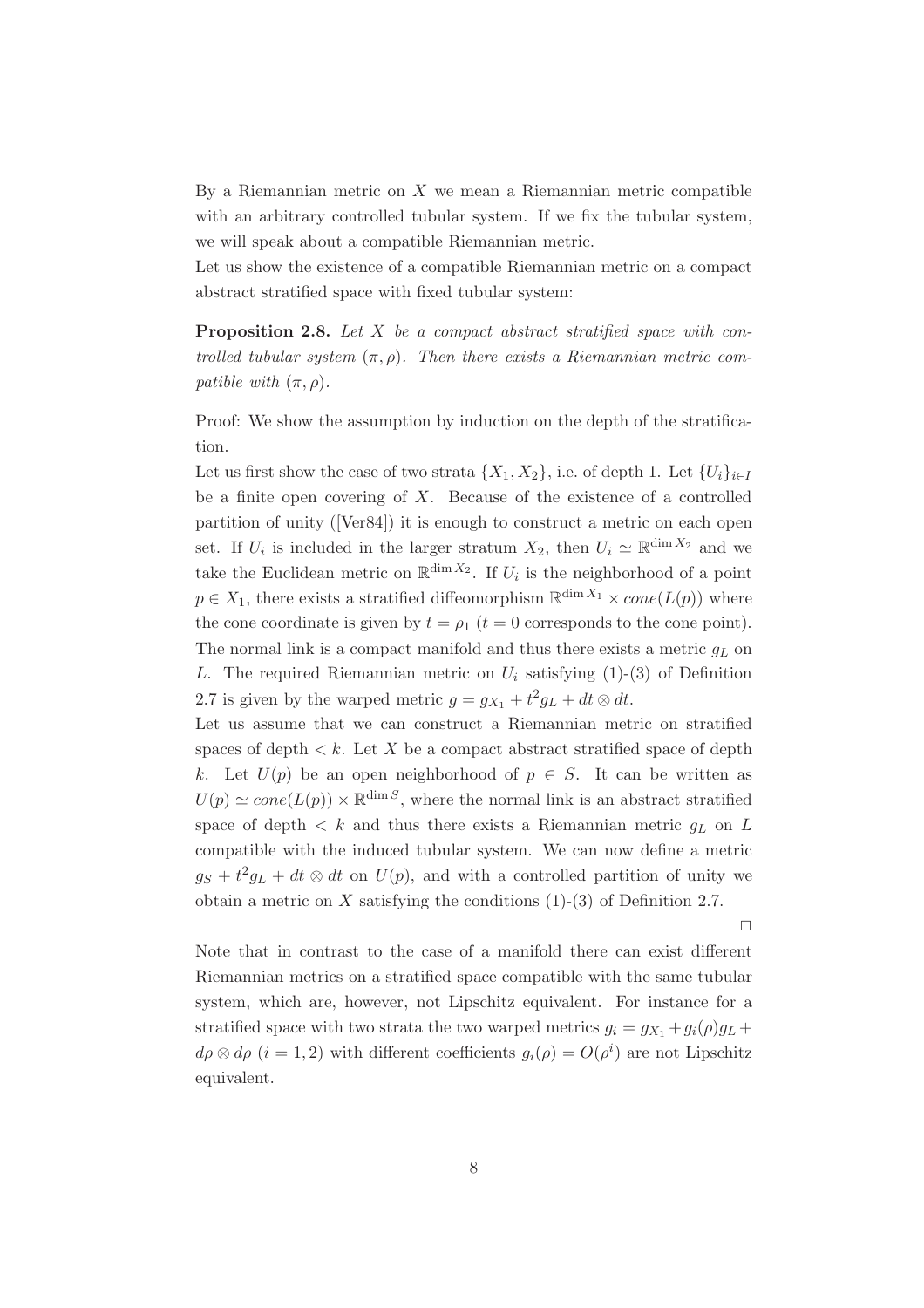By a Riemannian metric on  $X$  we mean a Riemannian metric compatible with an arbitrary controlled tubular system. If we fix the tubular system, we will speak about a compatible Riemannian metric.

Let us show the existence of a compatible Riemannian metric on a compact abstract stratified space with fixed tubular system:

**Proposition 2.8.** *Let* X *be a compact abstract stratified space with controlled tubular system*  $(\pi, \rho)$ . Then there exists a Riemannian metric com*patible with*  $(\pi, \rho)$ *.* 

Proof: We show the assumption by induction on the depth of the stratification.

Let us first show the case of two strata  $\{X_1, X_2\}$ , i.e. of depth 1. Let  $\{U_i\}_{i\in I}$ be a finite open covering of  $X$ . Because of the existence of a controlled partition of unity ([Ver84]) it is enough to construct a metric on each open set. If  $U_i$  is included in the larger stratum  $X_2$ , then  $U_i \simeq \mathbb{R}^{\dim X_2}$  and we take the Euclidean metric on  $\mathbb{R}^{\dim X_2}$ . If  $U_i$  is the neighborhood of a point  $p \in X_1$ , there exists a stratified diffeomorphism  $\mathbb{R}^{\dim X_1} \times cone(L(p))$  where the cone coordinate is given by  $t = \rho_1$  ( $t = 0$  corresponds to the cone point). The normal link is a compact manifold and thus there exists a metric  $g_L$  on L. The required Riemannian metric on  $U_i$  satisfying (1)-(3) of Definition 2.7 is given by the warped metric  $g = g_{X_1} + t^2 g_L + dt \otimes dt$ .

Let us assume that we can construct a Riemannian metric on stratified spaces of depth  $\lt k$ . Let X be a compact abstract stratified space of depth k. Let  $U(p)$  be an open neighborhood of  $p \in S$ . It can be written as  $U(p) \simeq cone(L(p)) \times \mathbb{R}^{\dim S}$ , where the normal link is an abstract stratified space of depth  $\langle k \rangle$  and thus there exists a Riemannian metric  $q_L$  on L compatible with the induced tubular system. We can now define a metric  $g_S + t^2 g_L + dt \otimes dt$  on  $U(p)$ , and with a controlled partition of unity we obtain a metric on  $X$  satisfying the conditions  $(1)-(3)$  of Definition 2.7.

 $\Box$ 

Note that in contrast to the case of a manifold there can exist different Riemannian metrics on a stratified space compatible with the same tubular system, which are, however, not Lipschitz equivalent. For instance for a stratified space with two strata the two warped metrics  $q_i = q_{X_1} + q_i(\rho)q_L +$  $d\rho \otimes d\rho$   $(i = 1, 2)$  with different coefficients  $g_i(\rho) = O(\rho^i)$  are not Lipschitz equivalent.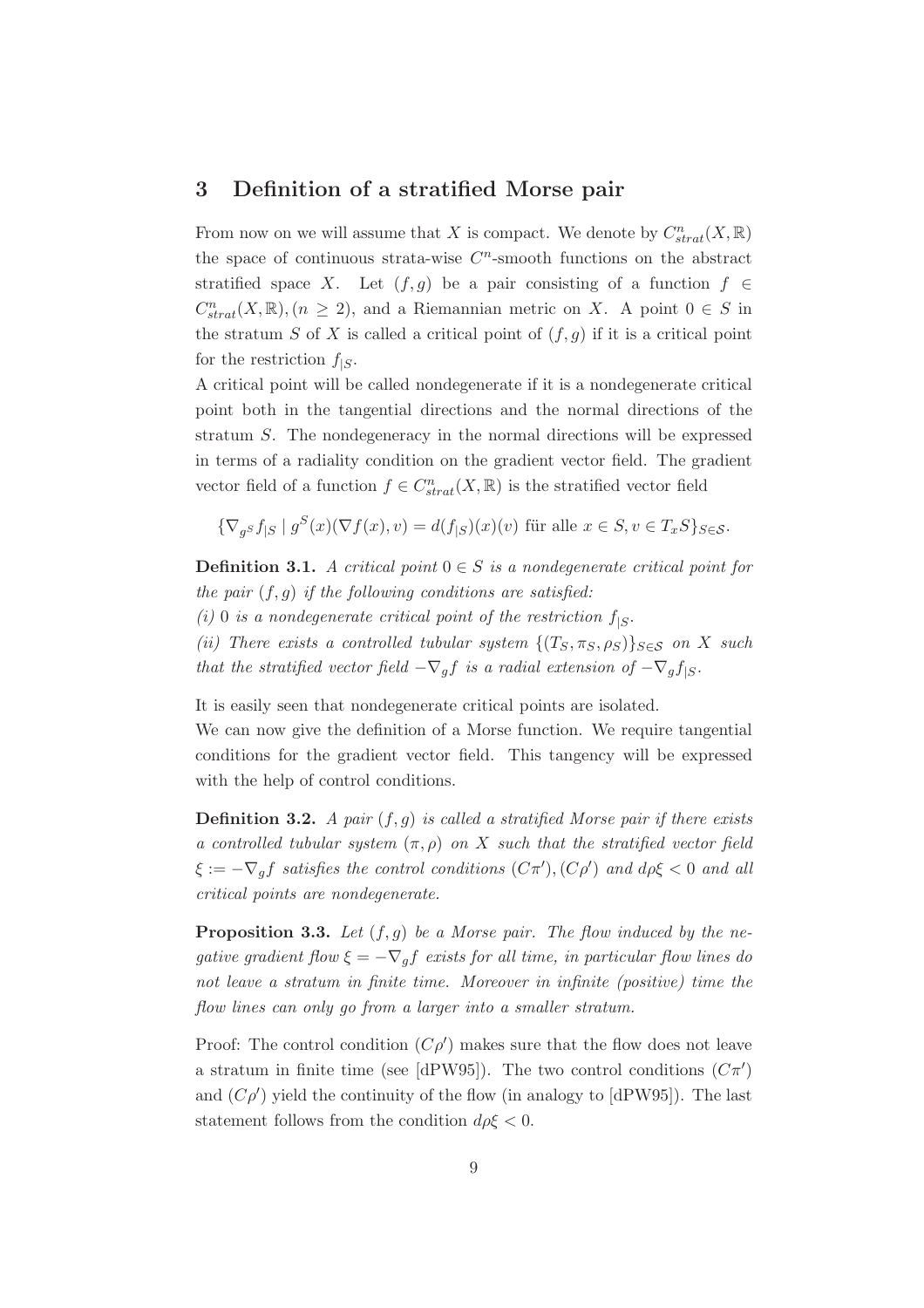#### **3 Definition of a stratified Morse pair**

From now on we will assume that X is compact. We denote by  $C^n_{strat}(X,\mathbb{R})$ the space of continuous strata-wise  $C<sup>n</sup>$ -smooth functions on the abstract stratified space X. Let  $(f,g)$  be a pair consisting of a function  $f \in$  $C_{strat}^n(X,\mathbb{R}), (n \geq 2)$ , and a Riemannian metric on X. A point  $0 \in S$  in the stratum S of X is called a critical point of  $(f,g)$  if it is a critical point for the restriction  $f_{|S}$ .

A critical point will be called nondegenerate if it is a nondegenerate critical point both in the tangential directions and the normal directions of the stratum S. The nondegeneracy in the normal directions will be expressed in terms of a radiality condition on the gradient vector field. The gradient vector field of a function  $f \in C^n_{strat}(X,\mathbb{R})$  is the stratified vector field

$$
\{\nabla_g s f_{|S} \mid g^S(x)(\nabla f(x), v) = d(f_{|S})(x)(v) \text{ für alle } x \in S, v \in T_x S\}_{S \in \mathcal{S}}.
$$

**Definition 3.1.** *A critical point*  $0 \in S$  *is a nondegenerate critical point for the pair* (f,g) *if the following conditions are satisfied:*

 $(i)$  0 *is a nondegenerate critical point of the restriction*  $f_{|S}$ .

*(ii)* There exists a controlled tubular system  $\{(T_S, \pi_S, \rho_S)\}_{S \in \mathcal{S}}$  on X such *that the stratified vector field*  $-\nabla_g f$  *is a radial extension of*  $-\nabla_g f_{|S}$ *.* 

It is easily seen that nondegenerate critical points are isolated.

We can now give the definition of a Morse function. We require tangential conditions for the gradient vector field. This tangency will be expressed with the help of control conditions.

**Definition 3.2.** *A pair* (f,g) *is called a stratified Morse pair if there exists a controlled tubular system* (π, ρ) *on* X *such that the stratified vector field*  $\xi := -\nabla_g f$  satisfies the control conditions  $(C\pi'), (C\rho')$  and  $d\rho \xi < 0$  and all *critical points are nondegenerate.*

**Proposition 3.3.** *Let* (f,g) *be a Morse pair. The flow induced by the negative gradient flow*  $\xi = -\nabla_g f$  *exists for all time, in particular flow lines do not leave a stratum in finite time. Moreover in infinite (positive) time the flow lines can only go from a larger into a smaller stratum.*

Proof: The control condition  $(C\rho')$  makes sure that the flow does not leave a stratum in finite time (see [dPW95]). The two control conditions  $(C\pi')$ and  $(C\rho')$  yield the continuity of the flow (in analogy to [dPW95]). The last statement follows from the condition  $d\rho \xi < 0$ .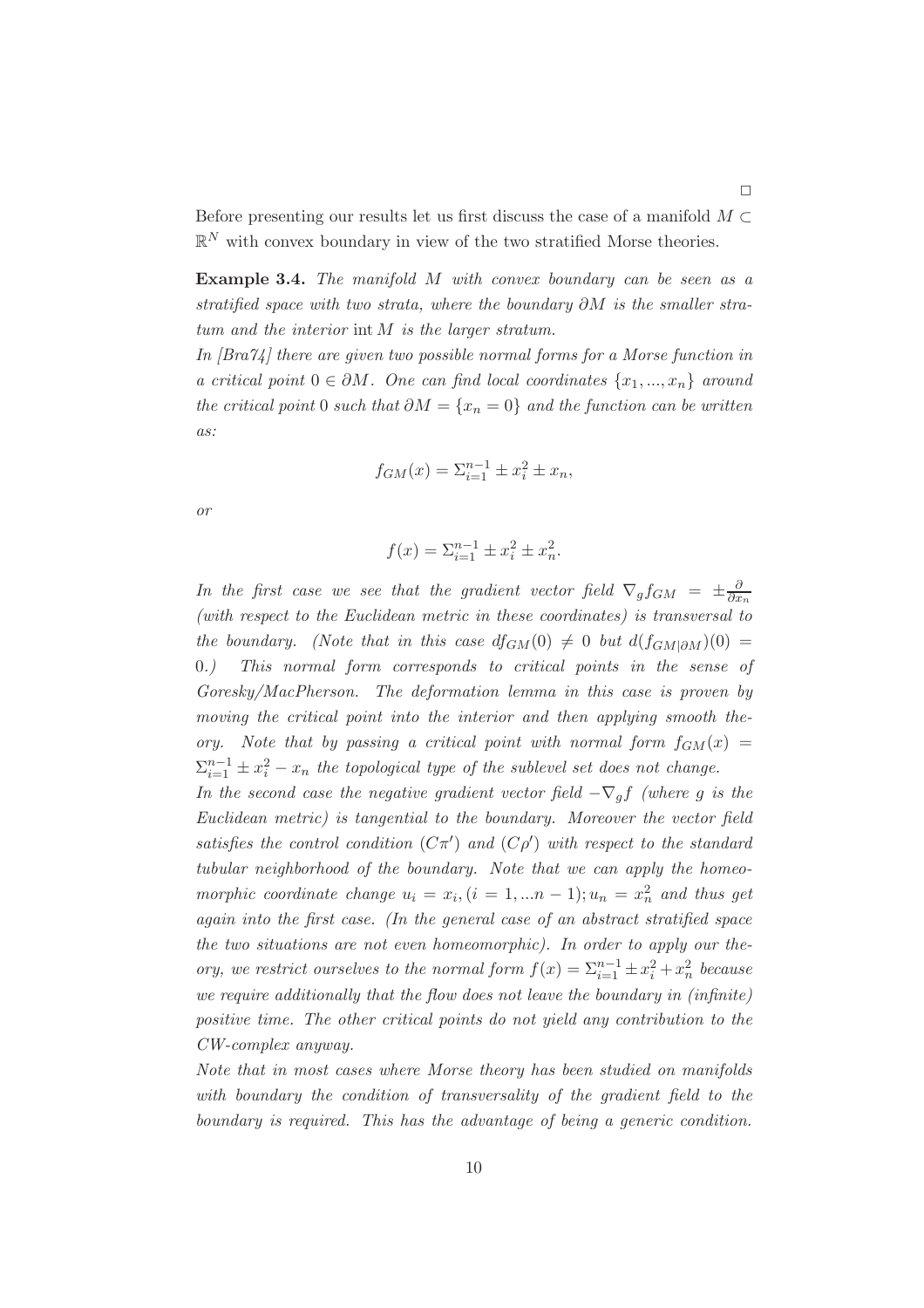Before presenting our results let us first discuss the case of a manifold  $M \subset$  $\mathbb{R}^N$  with convex boundary in view of the two stratified Morse theories.

**Example 3.4.** *The manifold* M *with convex boundary can be seen as a stratified space with two strata, where the boundary* ∂M *is the smaller stratum and the interior* int M *is the larger stratum.*

*In [Bra74] there are given two possible normal forms for a Morse function in a critical point*  $0 ∈ ∂M$ *. One can find local coordinates*  $\{x_1, ..., x_n\}$  *around the critical point* 0 *such that*  $\partial M = \{x_n = 0\}$  *and the function can be written as:*

$$
f_{GM}(x) = \sum_{i=1}^{n-1} \pm x_i^2 \pm x_n,
$$

*or*

$$
f(x) = \sum_{i=1}^{n-1} \pm x_i^2 \pm x_n^2.
$$

*In the first case we see that the gradient vector field*  $\nabla_g f_{GM} = \pm \frac{\partial}{\partial x_n}$ *(with respect to the Euclidean metric in these coordinates) is transversal to the boundary.* (Note that in this case  $df_{GM}(0) \neq 0$  but  $d(f_{GM|\partial M})(0) =$ 0*.) This normal form corresponds to critical points in the sense of Goresky/MacPherson. The deformation lemma in this case is proven by moving the critical point into the interior and then applying smooth theory.* Note that by passing a critical point with normal form  $f_{GM}(x)$  =  $\sum_{i=1}^{n-1} \pm x_i^2 - x_n$  the topological type of the sublevel set does not change.

*In the second case the negative gradient vector field*  $-\nabla_q f$  *(where g is the Euclidean metric) is tangential to the boundary. Moreover the vector field* satisfies the control condition  $(C\pi')$  and  $(C\rho')$  with respect to the standard *tubular neighborhood of the boundary. Note that we can apply the homeomorphic coordinate change*  $u_i = x_i$ ,  $(i = 1,...n - 1)$ ;  $u_n = x_n^2$  *and thus get again into the first case. (In the general case of an abstract stratified space the two situations are not even homeomorphic). In order to apply our theory, we restrict ourselves to the normal form*  $f(x) = \sum_{i=1}^{n-1} \pm x_i^2 + x_n^2$  *because we require additionally that the flow does not leave the boundary in (infinite) positive time. The other critical points do not yield any contribution to the CW-complex anyway.*

*Note that in most cases where Morse theory has been studied on manifolds with boundary the condition of transversality of the gradient field to the boundary is required. This has the advantage of being a generic condition.*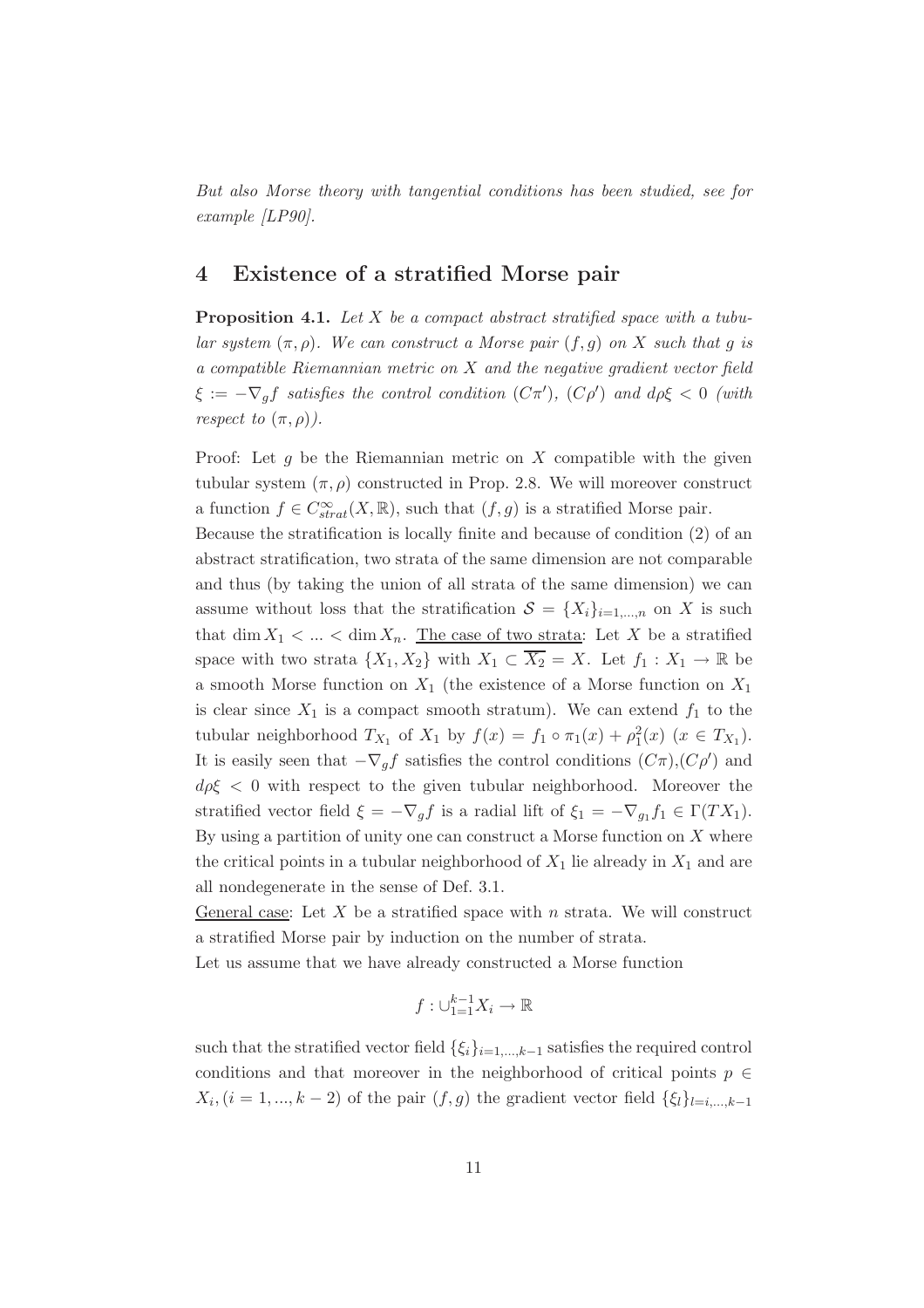*But also Morse theory with tangential conditions has been studied, see for example [LP90].*

#### **4 Existence of a stratified Morse pair**

**Proposition 4.1.** *Let* X *be a compact abstract stratified space with a tubular system*  $(\pi, \rho)$ *. We can construct a Morse pair*  $(f, g)$  *on* X *such that* g *is a compatible Riemannian metric on* X *and the negative gradient vector field*  $\xi := -\nabla_g f$  satisfies the control condition  $(C\pi'), (C\rho')$  and  $d\rho \xi < 0$  (with *respect to*  $(\pi, \rho)$ *)*.

Proof: Let  $g$  be the Riemannian metric on  $X$  compatible with the given tubular system  $(\pi, \rho)$  constructed in Prop. 2.8. We will moreover construct a function  $f \in C^{\infty}_{strat}(X,\mathbb{R})$ , such that  $(f,g)$  is a stratified Morse pair.

Because the stratification is locally finite and because of condition (2) of an abstract stratification, two strata of the same dimension are not comparable and thus (by taking the union of all strata of the same dimension) we can assume without loss that the stratification  $S = \{X_i\}_{i=1,\dots,n}$  on X is such that dim  $X_1 < ... < \dim X_n$ . The case of two strata: Let X be a stratified space with two strata  $\{X_1, X_2\}$  with  $X_1 \subset \overline{X_2} = X$ . Let  $f_1 : X_1 \to \mathbb{R}$  be a smooth Morse function on  $X_1$  (the existence of a Morse function on  $X_1$ ) is clear since  $X_1$  is a compact smooth stratum). We can extend  $f_1$  to the tubular neighborhood  $T_{X_1}$  of  $X_1$  by  $f(x) = f_1 \circ \pi_1(x) + \rho_1^2(x)$   $(x \in T_{X_1})$ . It is easily seen that  $-\nabla_g f$  satisfies the control conditions  $(C\pi), (C\rho')$  and  $d\rho\xi < 0$  with respect to the given tubular neighborhood. Moreover the stratified vector field  $\xi = -\nabla_g f$  is a radial lift of  $\xi_1 = -\nabla_{g_1} f_1 \in \Gamma(T X_1)$ . By using a partition of unity one can construct a Morse function on  $X$  where the critical points in a tubular neighborhood of  $X_1$  lie already in  $X_1$  and are all nondegenerate in the sense of Def. 3.1.

General case: Let  $X$  be a stratified space with  $n$  strata. We will construct a stratified Morse pair by induction on the number of strata.

Let us assume that we have already constructed a Morse function

$$
f: \cup_{1=1}^{k-1} X_i \to \mathbb{R}
$$

such that the stratified vector field  $\{\xi_i\}_{i=1,\dots,k-1}$  satisfies the required control conditions and that moreover in the neighborhood of critical points  $p \in$  $X_i$ ,  $(i = 1, ..., k - 2)$  of the pair  $(f, g)$  the gradient vector field  $\{\xi_i\}_{i=i,...,k-1}$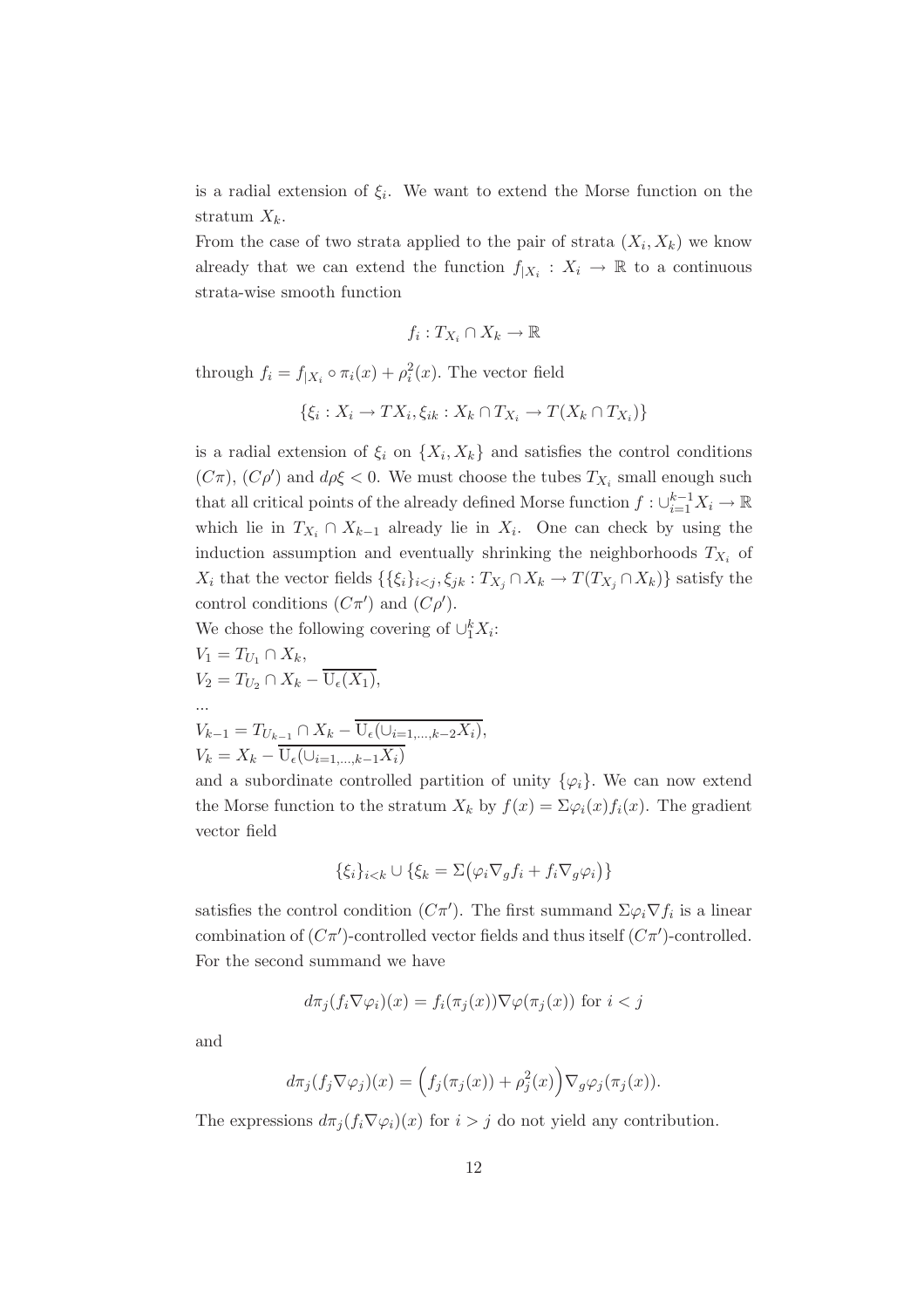is a radial extension of  $\xi_i$ . We want to extend the Morse function on the stratum  $X_k$ .

From the case of two strata applied to the pair of strata  $(X_i, X_k)$  we know already that we can extend the function  $f_{|X_i}: X_i \to \mathbb{R}$  to a continuous strata-wise smooth function

$$
f_i: T_{X_i} \cap X_k \to \mathbb{R}
$$

through  $f_i = f_{|X_i} \circ \pi_i(x) + \rho_i^2(x)$ . The vector field

$$
\{\xi_i:X_i\to TX_i,\xi_{ik}:X_k\cap T_{X_i}\to T(X_k\cap T_{X_i})\}
$$

is a radial extension of  $\xi_i$  on  $\{X_i, X_k\}$  and satisfies the control conditions  $(C\pi)$ ,  $(C\rho')$  and  $d\rho\xi < 0$ . We must choose the tubes  $T_{X_i}$  small enough such that all critical points of the already defined Morse function  $f: \cup_{i=1}^{k-1} X_i \to \mathbb{R}$ which lie in  $T_{X_i} \cap X_{k-1}$  already lie in  $X_i$ . One can check by using the induction assumption and eventually shrinking the neighborhoods  $T_{X_i}$  of X<sub>i</sub> that the vector fields  $\{\{\xi_i\}_{i\leq j}, \xi_{jk} : T_{X_j} \cap X_k \to T(T_{X_j} \cap X_k)\}$  satisfy the control conditions  $(C\pi')$  and  $(C\rho')$ .

We chose the following covering of  $\cup_1^k X_i$ :

$$
V_1 = T_{U_1} \cap X_k,
$$
  
\n
$$
V_2 = T_{U_2} \cap X_k - \overline{U_{\epsilon}(X_1)},
$$

$$
V_{k-1} = T_{U_{k-1}} \cap X_k - \overline{\mathrm{U}_{\epsilon}(\cup_{i=1,\ldots,k-2} X_i)},
$$
  

$$
V_k = X_k - \overline{\mathrm{U}_{\epsilon}(\cup_{i=1,\ldots,k-1} X_i)}
$$

and a subordinate controlled partition of unity  $\{\varphi_i\}$ . We can now extend the Morse function to the stratum  $X_k$  by  $f(x)=\sum \varphi_i(x)f_i(x)$ . The gradient vector field

$$
\{\xi_i\}_{i < k} \cup \{\xi_k = \Sigma(\varphi_i \nabla_g f_i + f_i \nabla_g \varphi_i)\}
$$

satisfies the control condition  $(C\pi')$ . The first summand  $\Sigma\varphi_i\nabla f_i$  is a linear combination of  $(C\pi')$ -controlled vector fields and thus itself  $(C\pi')$ -controlled. For the second summand we have

$$
d\pi_j(f_i\nabla\varphi_i)(x) = f_i(\pi_j(x))\nabla\varphi(\pi_j(x))
$$
 for  $i < j$ 

and

...

$$
d\pi_j(f_j \nabla \varphi_j)(x) = \left(f_j(\pi_j(x)) + \rho_j^2(x)\right) \nabla_g \varphi_j(\pi_j(x)).
$$

The expressions  $d\pi_j(f_i\nabla\varphi_i)(x)$  for  $i>j$  do not yield any contribution.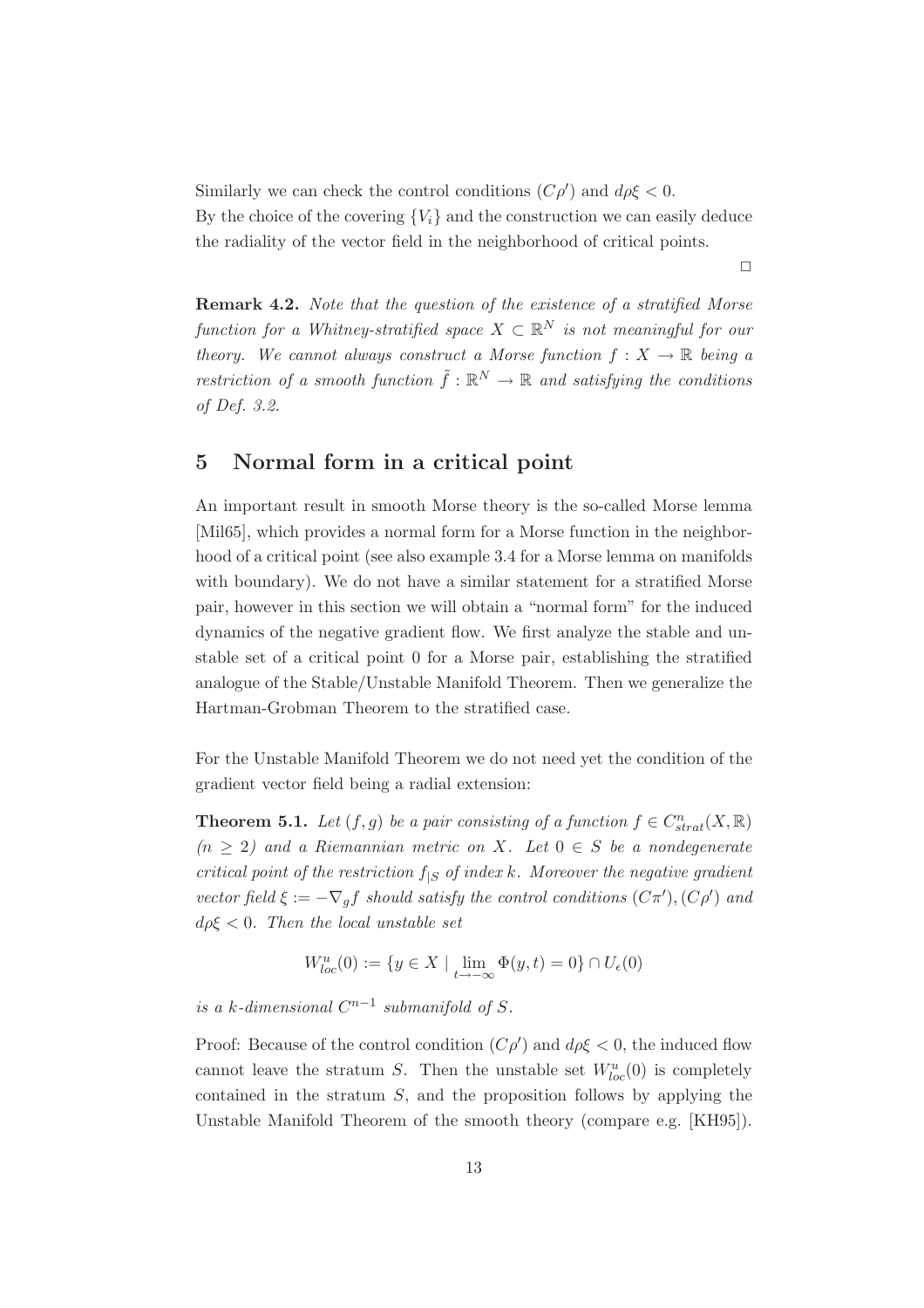Similarly we can check the control conditions  $(C\rho')$  and  $d\rho\xi < 0$ . By the choice of the covering  ${V_i}$  and the construction we can easily deduce the radiality of the vector field in the neighborhood of critical points.

 $\Box$ 

**Remark 4.2.** *Note that the question of the existence of a stratified Morse function for a Whitney-stratified space*  $X \subset \mathbb{R}^N$  *is not meaningful for our theory.* We cannot always construct a Morse function  $f: X \to \mathbb{R}$  *being a restriction of a smooth function*  $\tilde{f}: \mathbb{R}^N \to \mathbb{R}$  and satisfying the conditions *of Def. 3.2.*

#### **5 Normal form in a critical point**

An important result in smooth Morse theory is the so-called Morse lemma [Mil65], which provides a normal form for a Morse function in the neighborhood of a critical point (see also example 3.4 for a Morse lemma on manifolds with boundary). We do not have a similar statement for a stratified Morse pair, however in this section we will obtain a "normal form" for the induced dynamics of the negative gradient flow. We first analyze the stable and unstable set of a critical point 0 for a Morse pair, establishing the stratified analogue of the Stable/Unstable Manifold Theorem. Then we generalize the Hartman-Grobman Theorem to the stratified case.

For the Unstable Manifold Theorem we do not need yet the condition of the gradient vector field being a radial extension:

**Theorem 5.1.** *Let*  $(f, g)$  *be a pair consisting of a function*  $f \in C^n_{strat}(X, \mathbb{R})$  $(n \geq 2)$  and a Riemannian metric on X. Let  $0 \in S$  be a nondegenerate *critical point of the restriction*  $f_{|S}$  *of index* k*. Moreover the negative gradient vector field*  $\xi := -\nabla_g f$  *should satisfy the control conditions*  $(C\pi'), (C\rho')$  *and* dρξ < 0*. Then the local unstable set*

$$
W^u_{loc}(0) := \{ y \in X \mid \lim_{t \to -\infty} \Phi(y, t) = 0 \} \cap U_{\epsilon}(0)
$$

*is a k*-dimensional  $C^{n-1}$  *submanifold of* S.

Proof: Because of the control condition  $(C\rho')$  and  $d\rho \xi < 0$ , the induced flow cannot leave the stratum S. Then the unstable set  $W^u_{loc}(0)$  is completely contained in the stratum S, and the proposition follows by applying the Unstable Manifold Theorem of the smooth theory (compare e.g. [KH95]).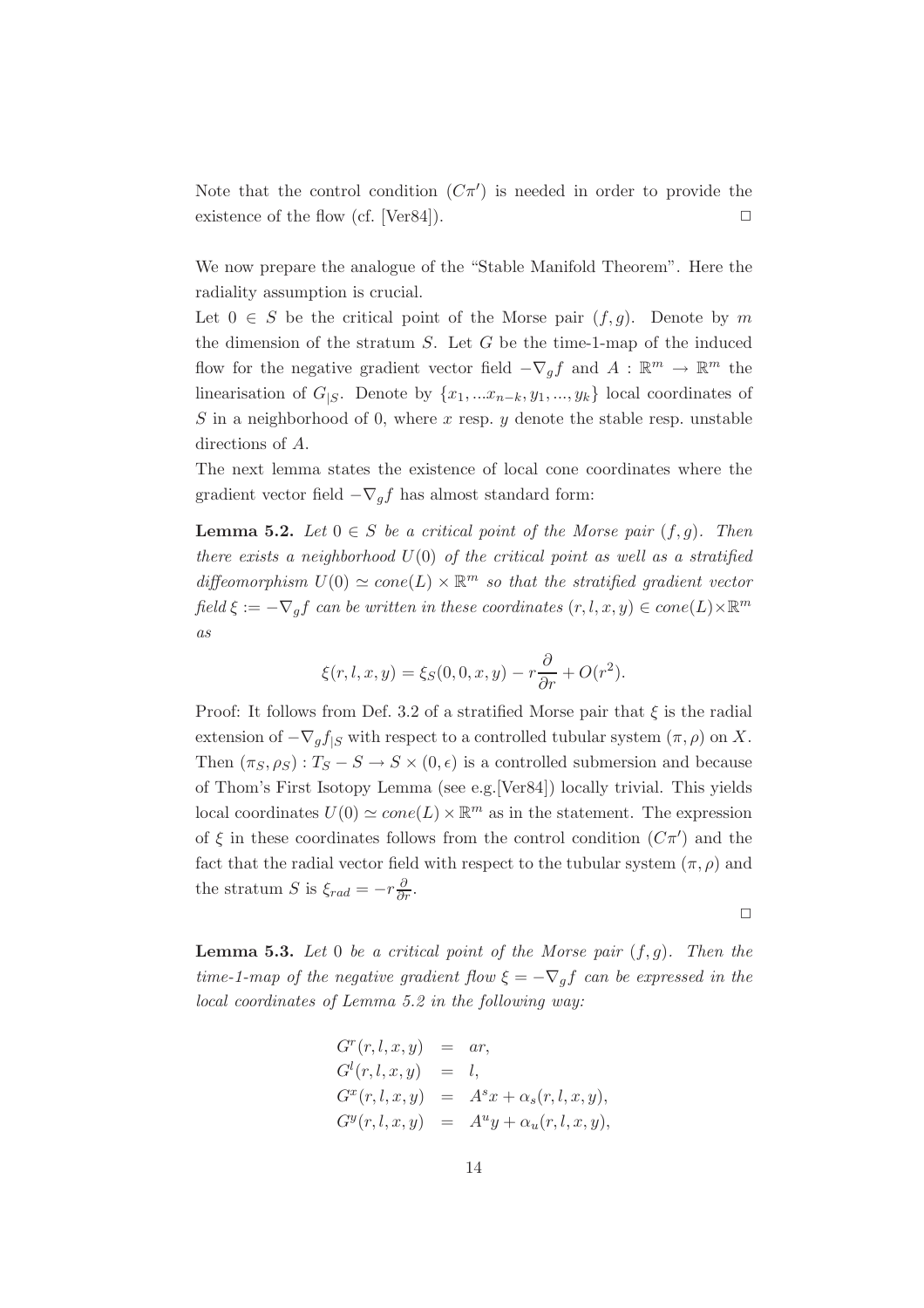Note that the control condition  $(C\pi')$  is needed in order to provide the existence of the flow (cf. [Ver84]).  $\Box$ 

We now prepare the analogue of the "Stable Manifold Theorem". Here the radiality assumption is crucial.

Let  $0 \in S$  be the critical point of the Morse pair  $(f, g)$ . Denote by m the dimension of the stratum  $S$ . Let  $G$  be the time-1-map of the induced flow for the negative gradient vector field  $-\nabla_a f$  and  $A : \mathbb{R}^m \to \mathbb{R}^m$  the linearisation of  $G_{|S}$ . Denote by  $\{x_1, ... x_{n-k}, y_1, ..., y_k\}$  local coordinates of S in a neighborhood of 0, where x resp. y denote the stable resp. unstable directions of A.

The next lemma states the existence of local cone coordinates where the gradient vector field  $-\nabla_q f$  has almost standard form:

**Lemma 5.2.** *Let*  $0 \in S$  *be a critical point of the Morse pair*  $(f, g)$ *. Then there exists a neighborhood* U(0) *of the critical point as well as a stratified* diffeomorphism  $U(0) \simeq cone(L) \times \mathbb{R}^m$  so that the stratified gradient vector  $field \xi := -\nabla_{a}f$  *can be written in these coordinates*  $(r, l, x, y) \in cone(L) \times \mathbb{R}^{m}$ *as*

$$
\xi(r, l, x, y) = \xi_S(0, 0, x, y) - r\frac{\partial}{\partial r} + O(r^2).
$$

Proof: It follows from Def. 3.2 of a stratified Morse pair that  $\xi$  is the radial extension of  $-\nabla_q f_{|S}$  with respect to a controlled tubular system  $(\pi, \rho)$  on X. Then  $(\pi_S, \rho_S) : T_S - S \to S \times (0, \epsilon)$  is a controlled submersion and because of Thom's First Isotopy Lemma (see e.g.[Ver84]) locally trivial. This yields local coordinates  $U(0) \simeq cone(L) \times \mathbb{R}^m$  as in the statement. The expression of  $\xi$  in these coordinates follows from the control condition  $(C\pi')$  and the fact that the radial vector field with respect to the tubular system  $(\pi, \rho)$  and the stratum S is  $\xi_{rad} = -r \frac{\partial}{\partial r}$ .

 $\Box$ 

**Lemma 5.3.** Let 0 be a critical point of the Morse pair  $(f, g)$ . Then the *time-1-map of the negative gradient flow*  $\xi = -\nabla_{a}f$  *can be expressed in the local coordinates of Lemma 5.2 in the following way:*

$$
Gr(r, l, x, y) = ar,
$$
  
\n
$$
Gl(r, l, x, y) = l,
$$
  
\n
$$
Gx(r, l, x, y) = Asx + \alphas(r, l, x, y),
$$
  
\n
$$
Gy(r, l, x, y) = Auy + \alphau(r, l, x, y),
$$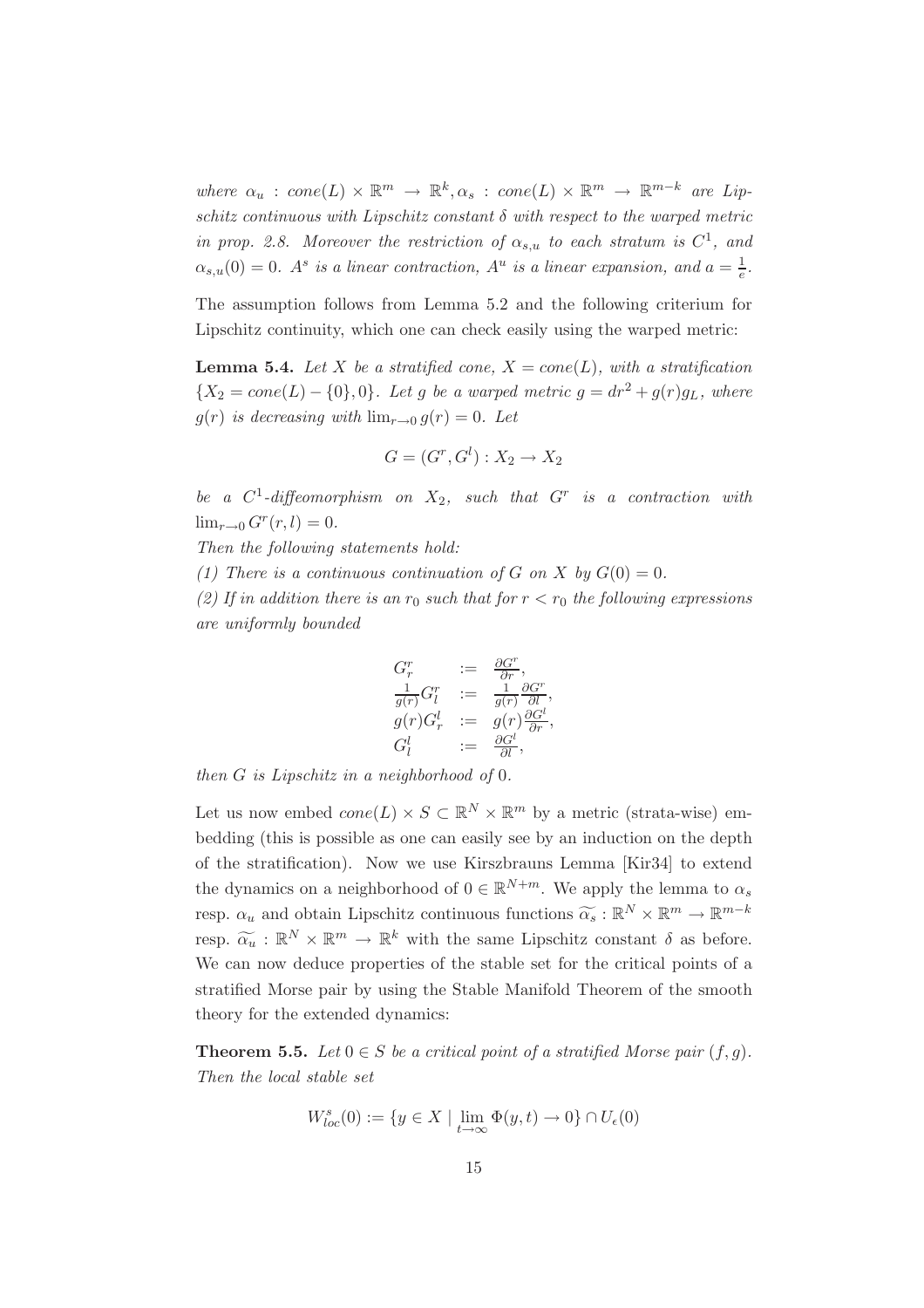*where*  $\alpha_u$  :  $cone(L) \times \mathbb{R}^m \rightarrow \mathbb{R}^k, \alpha_s$  :  $cone(L) \times \mathbb{R}^m \rightarrow \mathbb{R}^{m-k}$  *are Lipschitz continuous with Lipschitz constant* δ *with respect to the warped metric in prop. 2.8. Moreover the restriction of*  $\alpha_{s,u}$  *to each stratum is*  $C^1$ *, and*  $\alpha_{s,u}(0) = 0$ . A<sup>s</sup> is a linear contraction,  $A^u$  is a linear expansion, and  $a = \frac{1}{e}$ .

The assumption follows from Lemma 5.2 and the following criterium for Lipschitz continuity, which one can check easily using the warped metric:

**Lemma 5.4.** Let X be a stratified cone,  $X = cone(L)$ , with a stratification  ${X_2 = cone(L) - {0}, 0}.$  Let g be a warped metric  $g = dr^2 + g(r)g<sub>L</sub>$ , where  $g(r)$  *is decreasing with*  $\lim_{r\to 0} g(r)=0$ *. Let* 

$$
G = (G^r, G^l) : X_2 \to X_2
$$

*be a* C1*-diffeomorphism on* X2*, such that* G<sup>r</sup> *is a contraction with*  $\lim_{r\to 0} G^r(r,l)=0.$ 

*Then the following statements hold:*

*(1) There is a continuous continuation of* G *on* X *by*  $G(0) = 0$ .

(2) If in addition there is an  $r_0$  such that for  $r < r_0$  the following expressions *are uniformly bounded*

$$
G_r^r \n:= \n\frac{\partial G^r}{\partial r},
$$
  
\n
$$
\frac{1}{g(r)} G_l^r \n:= \n\frac{1}{g(r)} \frac{\partial G^r}{\partial l},
$$
  
\n
$$
g(r) G_r^l \n:= g(r) \frac{\partial G^l}{\partial r},
$$
  
\n
$$
G_l^l \n:= \frac{\partial G^l}{\partial l},
$$

*then* G *is Lipschitz in a neighborhood of* 0*.*

Let us now embed  $cone(L) \times S \subset \mathbb{R}^N \times \mathbb{R}^m$  by a metric (strata-wise) embedding (this is possible as one can easily see by an induction on the depth of the stratification). Now we use Kirszbrauns Lemma [Kir34] to extend the dynamics on a neighborhood of  $0 \in \mathbb{R}^{N+m}$ . We apply the lemma to  $\alpha_s$ resp.  $\alpha_u$  and obtain Lipschitz continuous functions  $\widetilde{\alpha_s} : \mathbb{R}^N \times \mathbb{R}^m \to \mathbb{R}^{m-k}$ resp.  $\widetilde{\alpha_u} : \mathbb{R}^N \times \mathbb{R}^m \to \mathbb{R}^k$  with the same Lipschitz constant  $\delta$  as before. We can now deduce properties of the stable set for the critical points of a stratified Morse pair by using the Stable Manifold Theorem of the smooth theory for the extended dynamics:

**Theorem 5.5.** *Let*  $0 \in S$  *be a critical point of a stratified Morse pair*  $(f, g)$ *. Then the local stable set*

$$
W_{loc}^s(0) := \{ y \in X \mid \lim_{t \to \infty} \Phi(y, t) \to 0 \} \cap U_{\epsilon}(0)
$$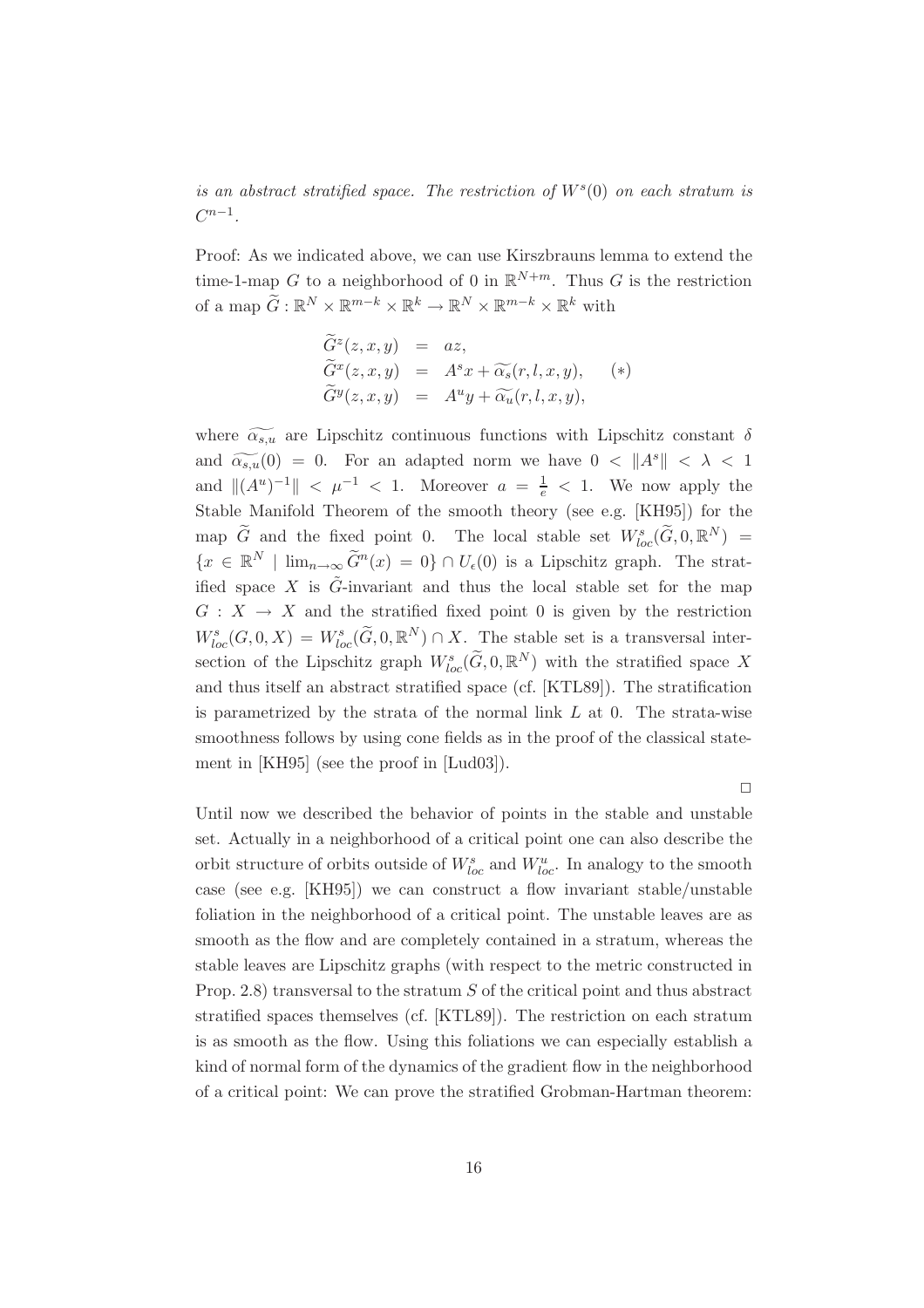*is an abstract stratified space. The restriction of*  $W<sup>s</sup>(0)$  *on each stratum is*  $C^{n-1}$ 

Proof: As we indicated above, we can use Kirszbrauns lemma to extend the time-1-map G to a neighborhood of 0 in  $\mathbb{R}^{N+m}$ . Thus G is the restriction of a map  $\widetilde{G} : \mathbb{R}^N \times \mathbb{R}^{m-k} \times \mathbb{R}^k \to \mathbb{R}^N \times \mathbb{R}^{m-k} \times \mathbb{R}^k$  with

$$
\begin{array}{rcl}\n\widetilde{G}^{z}(z,x,y) & = & az, \\
\widetilde{G}^{x}(z,x,y) & = & A^{s}x + \widetilde{\alpha_{s}}(r,l,x,y), \\
\widetilde{G}^{y}(z,x,y) & = & A^{u}y + \widetilde{\alpha_{u}}(r,l,x,y),\n\end{array} \tag{*}
$$

where  $\widetilde{\alpha_{s,u}}$  are Lipschitz continuous functions with Lipschitz constant  $\delta$ and  $\widetilde{\alpha_{s,u}}(0) = 0$ . For an adapted norm we have  $0 < ||A^s|| < \lambda < 1$ and  $||(A^u)^{-1}|| < \mu^{-1} < 1$ . Moreover  $a = \frac{1}{e} < 1$ . We now apply the Stable Manifold Theorem of the smooth theory (see e.g. [KH95]) for the map  $\widetilde{G}$  and the fixed point 0. The local stable set  $W^s_{loc}(\widetilde{G},0,\mathbb{R}^N) =$  ${x \in \mathbb{R}^N \mid \lim_{n \to \infty} \tilde{G}^n(x) = 0} \cap U_{\epsilon}(0)$  is a Lipschitz graph. The stratified space X is  $\tilde{G}$ -invariant and thus the local stable set for the map  $G: X \to X$  and the stratified fixed point 0 is given by the restriction  $W^s_{loc}(G, 0, X) = W^s_{loc}(\widetilde{G}, 0, \mathbb{R}^N) \cap X$ . The stable set is a transversal intersection of the Lipschitz graph  $W^s_{loc}(\widetilde{G},0,\mathbb{R}^N)$  with the stratified space X and thus itself an abstract stratified space (cf. [KTL89]). The stratification is parametrized by the strata of the normal link  $L$  at 0. The strata-wise smoothness follows by using cone fields as in the proof of the classical statement in [KH95] (see the proof in [Lud03]).

 $\Box$ 

Until now we described the behavior of points in the stable and unstable set. Actually in a neighborhood of a critical point one can also describe the orbit structure of orbits outside of  $W_{loc}^s$  and  $W_{loc}^u$ . In analogy to the smooth case (see e.g. [KH95]) we can construct a flow invariant stable/unstable foliation in the neighborhood of a critical point. The unstable leaves are as smooth as the flow and are completely contained in a stratum, whereas the stable leaves are Lipschitz graphs (with respect to the metric constructed in Prop. 2.8) transversal to the stratum S of the critical point and thus abstract stratified spaces themselves (cf. [KTL89]). The restriction on each stratum is as smooth as the flow. Using this foliations we can especially establish a kind of normal form of the dynamics of the gradient flow in the neighborhood of a critical point: We can prove the stratified Grobman-Hartman theorem: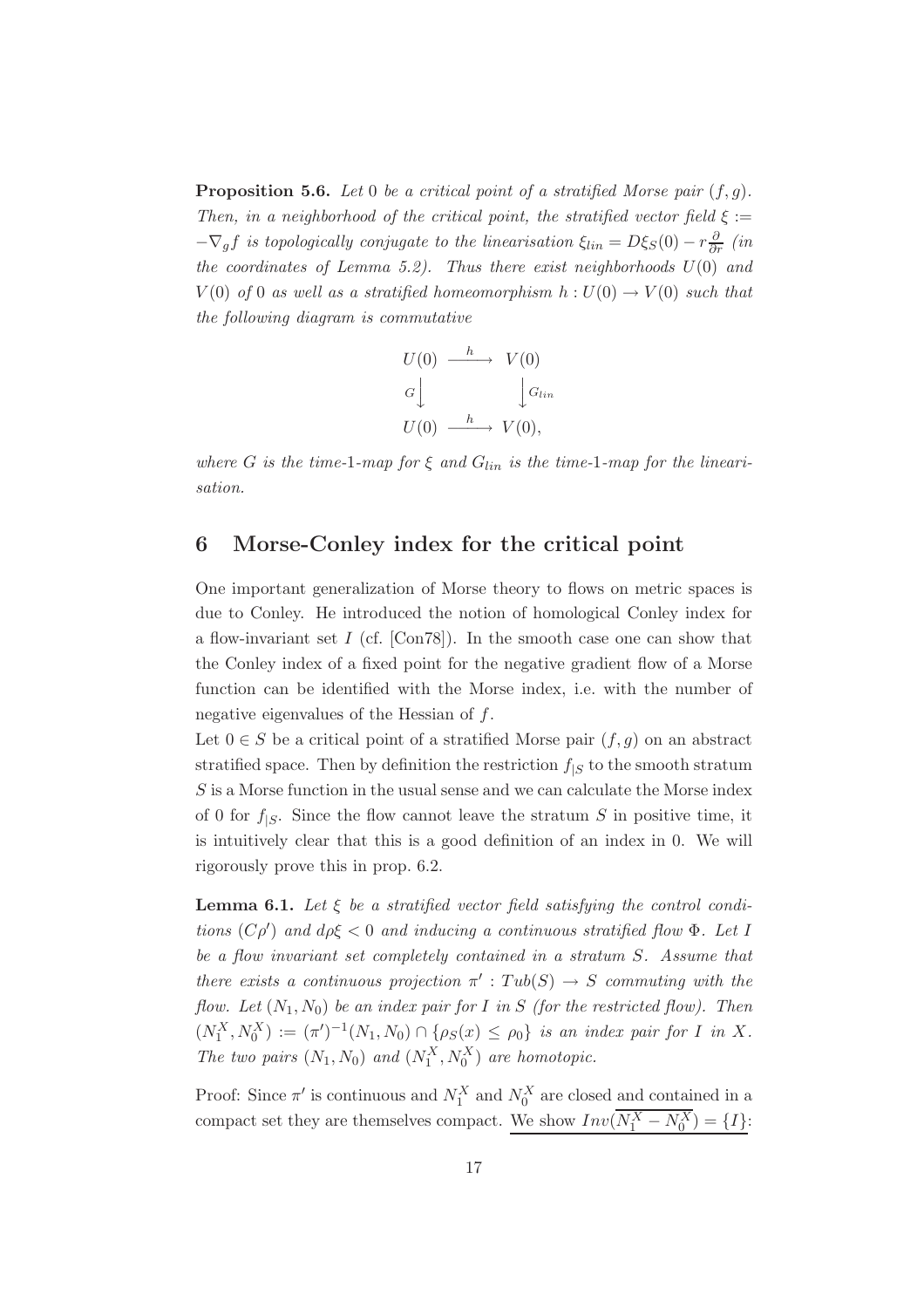**Proposition 5.6.** *Let* 0 *be a critical point of a stratified Morse pair* (f,g)*. Then, in a neighborhood of the critical point, the stratified vector field*  $\xi$  :=  $-\nabla_g f$  *is topologically conjugate to the linearisation*  $\xi_{lin} = D\xi_S(0) - r\frac{\partial}{\partial r}$  *(in*) *the coordinates of Lemma 5.2). Thus there exist neighborhoods* U(0) *and*  $V(0)$  *of* 0 *as well as a stratified homeomorphism*  $h: U(0) \rightarrow V(0)$  *such that the following diagram is commutative*

$$
U(0) \xrightarrow{h} V(0)
$$
  
\n
$$
G \downarrow \qquad \qquad \downarrow G_{lin}
$$
  
\n
$$
U(0) \xrightarrow{h} V(0),
$$

*where* G is the time-1-map for  $\xi$  and  $G_{lin}$  is the time-1-map for the lineari*sation.*

#### **6 Morse-Conley index for the critical point**

One important generalization of Morse theory to flows on metric spaces is due to Conley. He introduced the notion of homological Conley index for a flow-invariant set  $I$  (cf. [Con78]). In the smooth case one can show that the Conley index of a fixed point for the negative gradient flow of a Morse function can be identified with the Morse index, i.e. with the number of negative eigenvalues of the Hessian of f.

Let  $0 \in S$  be a critical point of a stratified Morse pair  $(f, g)$  on an abstract stratified space. Then by definition the restriction  $f_{|S}$  to the smooth stratum  $S$  is a Morse function in the usual sense and we can calculate the Morse index of 0 for  $f_{|S}$ . Since the flow cannot leave the stratum S in positive time, it is intuitively clear that this is a good definition of an index in 0. We will rigorously prove this in prop. 6.2.

**Lemma 6.1.** *Let* ξ *be a stratified vector field satisfying the control conditions* (Cρ ) *and* dρξ < 0 *and inducing a continuous stratified flow* Φ*. Let* I *be a flow invariant set completely contained in a stratum* S*. Assume that there exists a continuous projection*  $\pi'$ :  $Tub(S) \rightarrow S$  *commuting with the flow. Let*  $(N_1, N_0)$  *be an index pair for* I *in* S *(for the restricted flow). Then*  $(N_1^X, N_0^X) := (\pi')^{-1}(N_1, N_0) \cap \{\rho_S(x) \leq \rho_0\}$  *is an index pair for* I *in* X. The two pairs  $(N_1, N_0)$  and  $(N_1^X, N_0^X)$  are homotopic.

Proof: Since  $\pi'$  is continuous and  $N_1^X$  and  $N_0^X$  are closed and contained in a compact set they are themselves compact. We show  $Inv(N_1^X - N_0^X) = \{I\}$ :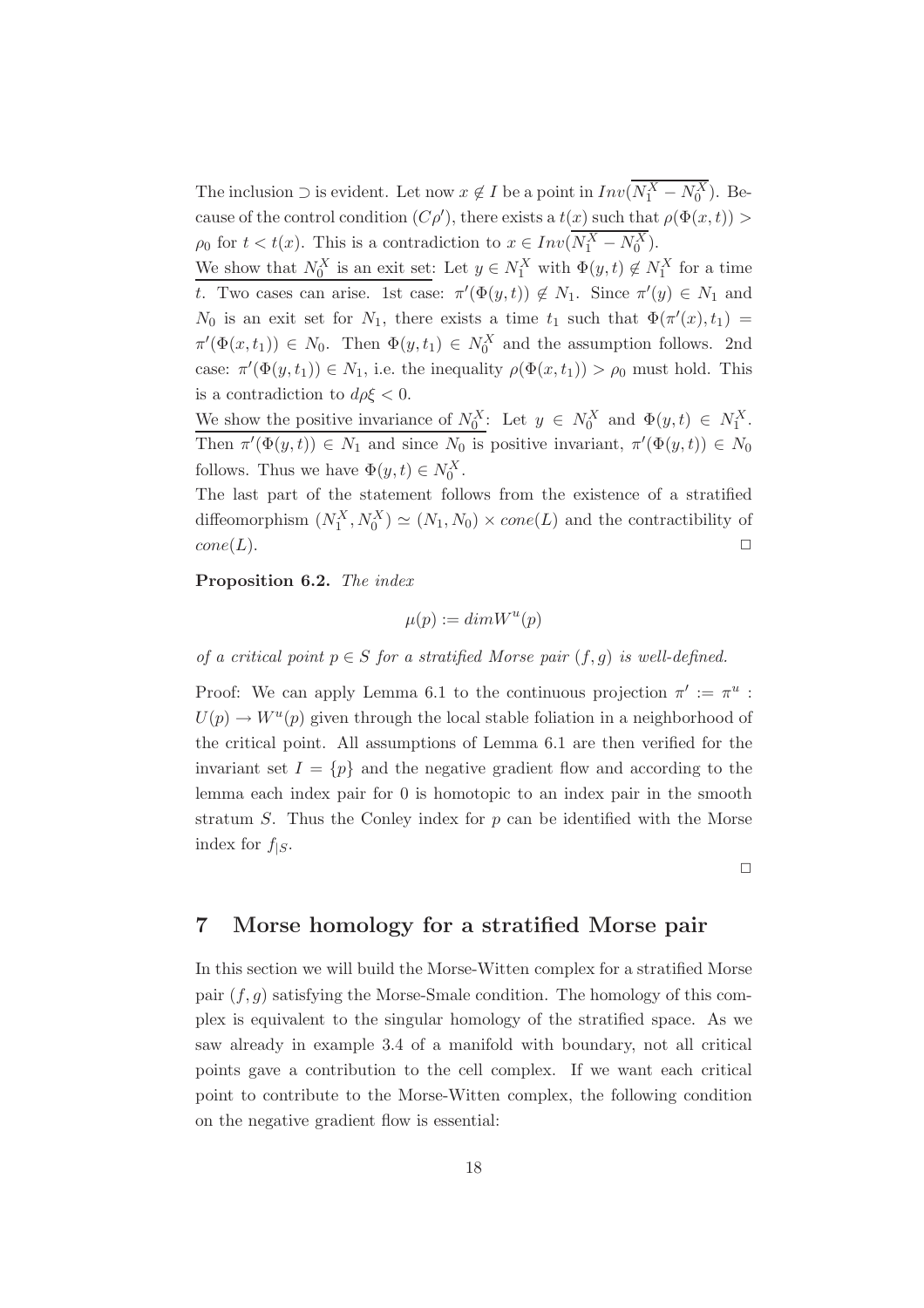The inclusion  $\supset$  is evident. Let now  $x \notin I$  be a point in  $Inv(N_1^X - N_0^X)$ . Because of the control condition  $(C\rho')$ , there exists a  $t(x)$  such that  $\rho(\Phi(x,t))$  $\rho_0$  for  $t < t(x)$ . This is a contradiction to  $x \in Inv(N_1^X - N_0^X)$ .

We show that  $N_0^X$  is an exit set: Let  $y \in N_1^X$  with  $\Phi(y, t) \notin N_1^X$  for a time t. Two cases can arise. 1st case:  $\pi'(\Phi(y,t)) \notin N_1$ . Since  $\pi'(y) \in N_1$  and  $N_0$  is an exit set for  $N_1$ , there exists a time  $t_1$  such that  $\Phi(\pi'(x), t_1) =$  $\pi'(\Phi(x,t_1)) \in N_0$ . Then  $\Phi(y,t_1) \in N_0^X$  and the assumption follows. 2nd case:  $\pi'(\Phi(y, t_1)) \in N_1$ , i.e. the inequality  $\rho(\Phi(x, t_1)) > \rho_0$  must hold. This is a contradiction to  $d\rho \xi < 0$ .

We show the positive invariance of  $N_0^X$ : Let  $y \in N_0^X$  and  $\Phi(y, t) \in N_1^X$ . Then  $\pi'(\Phi(y,t)) \in N_1$  and since  $N_0$  is positive invariant,  $\pi'(\Phi(y,t)) \in N_0$ follows. Thus we have  $\Phi(y, t) \in N_0^X$ .

The last part of the statement follows from the existence of a stratified diffeomorphism  $(N_1^X, N_0^X) \simeq (N_1, N_0) \times cone(L)$  and the contractibility of  $cone(L).$ 

**Proposition 6.2.** *The index*

$$
\mu(p) := dim W^u(p)
$$

*of a critical point*  $p \in S$  *for a stratified Morse pair*  $(f, g)$  *is well-defined.* 

Proof: We can apply Lemma 6.1 to the continuous projection  $\pi' := \pi^u$ :  $U(p) \to W^u(p)$  given through the local stable foliation in a neighborhood of the critical point. All assumptions of Lemma 6.1 are then verified for the invariant set  $I = \{p\}$  and the negative gradient flow and according to the lemma each index pair for 0 is homotopic to an index pair in the smooth stratum  $S$ . Thus the Conley index for  $p$  can be identified with the Morse index for  $f_{|S}$ .

 $\Box$ 

#### **7 Morse homology for a stratified Morse pair**

In this section we will build the Morse-Witten complex for a stratified Morse pair  $(f, g)$  satisfying the Morse-Smale condition. The homology of this complex is equivalent to the singular homology of the stratified space. As we saw already in example 3.4 of a manifold with boundary, not all critical points gave a contribution to the cell complex. If we want each critical point to contribute to the Morse-Witten complex, the following condition on the negative gradient flow is essential: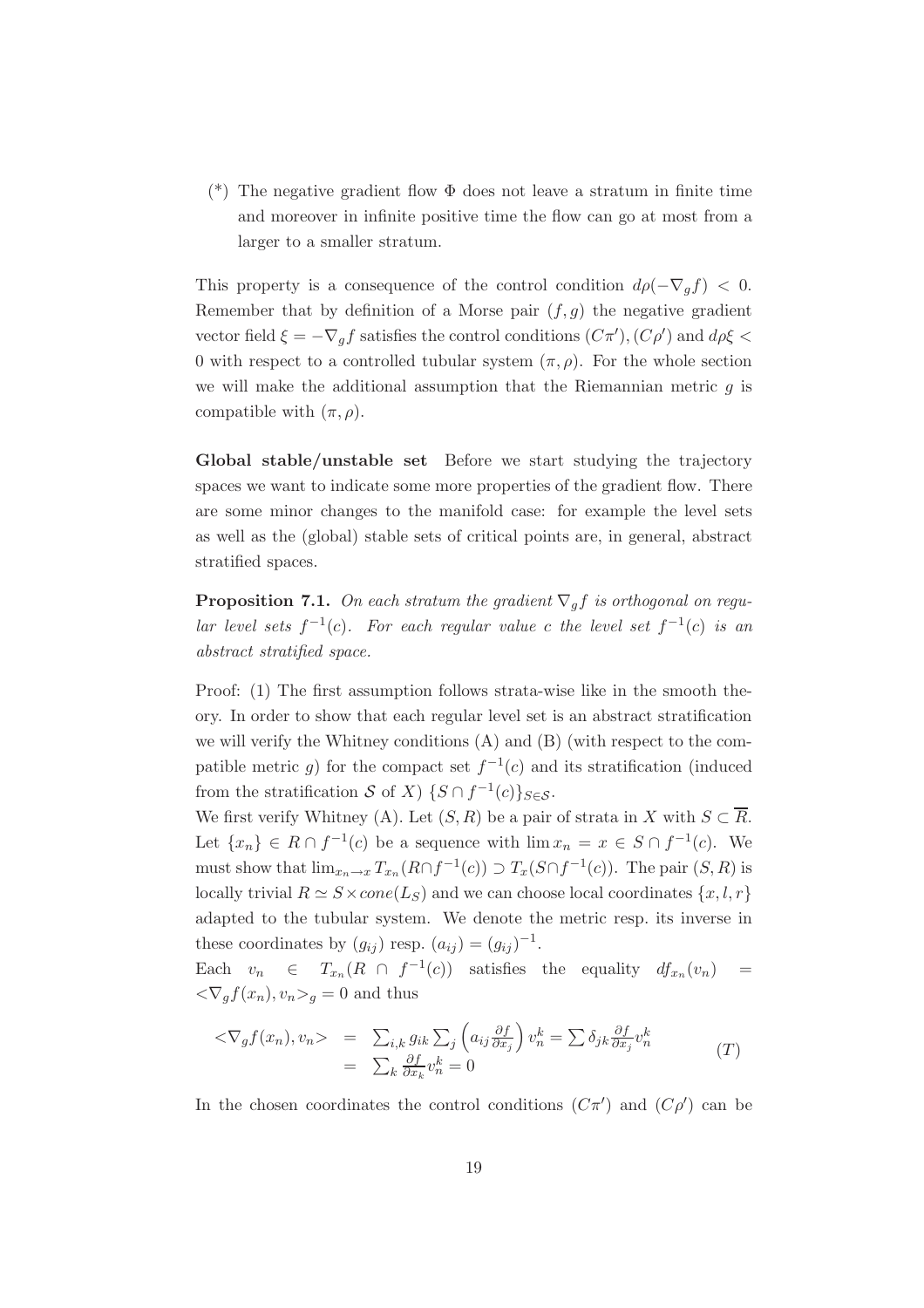(\*) The negative gradient flow  $\Phi$  does not leave a stratum in finite time and moreover in infinite positive time the flow can go at most from a larger to a smaller stratum.

This property is a consequence of the control condition  $d\rho(-\nabla_q f) < 0$ . Remember that by definition of a Morse pair  $(f, g)$  the negative gradient vector field  $\xi = -\nabla_g f$  satisfies the control conditions  $(C\pi'), (C\rho')$  and  $d\rho \xi <$ 0 with respect to a controlled tubular system  $(\pi, \rho)$ . For the whole section we will make the additional assumption that the Riemannian metric  $q$  is compatible with  $(\pi, \rho)$ .

**Global stable/unstable set** Before we start studying the trajectory spaces we want to indicate some more properties of the gradient flow. There are some minor changes to the manifold case: for example the level sets as well as the (global) stable sets of critical points are, in general, abstract stratified spaces.

**Proposition 7.1.** *On each stratum the gradient*  $\nabla_q f$  *is orthogonal on regular level sets*  $f^{-1}(c)$ *. For each regular value* c *the level set*  $f^{-1}(c)$  *is an abstract stratified space.*

Proof: (1) The first assumption follows strata-wise like in the smooth theory. In order to show that each regular level set is an abstract stratification we will verify the Whitney conditions (A) and (B) (with respect to the compatible metric g) for the compact set  $f^{-1}(c)$  and its stratification (induced from the stratification S of X)  $\{S \cap f^{-1}(c)\}_{S \in \mathcal{S}}$ .

We first verify Whitney (A). Let  $(S, R)$  be a pair of strata in X with  $S \subset \overline{R}$ . Let  $\{x_n\} \in R \cap f^{-1}(c)$  be a sequence with  $\lim x_n = x \in S \cap f^{-1}(c)$ . We must show that  $\lim_{x_n \to x} T_{x_n}(R \cap f^{-1}(c)) \supset T_x(S \cap f^{-1}(c))$ . The pair  $(S, R)$  is locally trivial  $R \simeq S \times cone(L_S)$  and we can choose local coordinates  $\{x, l, r\}$ adapted to the tubular system. We denote the metric resp. its inverse in these coordinates by  $(g_{ii})$  resp.  $(a_{ii})=(g_{ii})^{-1}$ .

Each  $v_n \in T_{x_n}(R \cap f^{-1}(c))$  satisfies the equality  $df_{x_n}(v_n)$  =  $\langle \nabla_q f(x_n), v_n \rangle_q = 0$  and thus

$$
\langle \nabla_g f(x_n), v_n \rangle = \sum_{i,k} g_{ik} \sum_j \left( a_{ij} \frac{\partial f}{\partial x_j} \right) v_n^k = \sum \delta_{jk} \frac{\partial f}{\partial x_j} v_n^k
$$
  

$$
= \sum_k \frac{\partial f}{\partial x_k} v_n^k = 0
$$
 (T)

In the chosen coordinates the control conditions  $(C\pi')$  and  $(C\rho')$  can be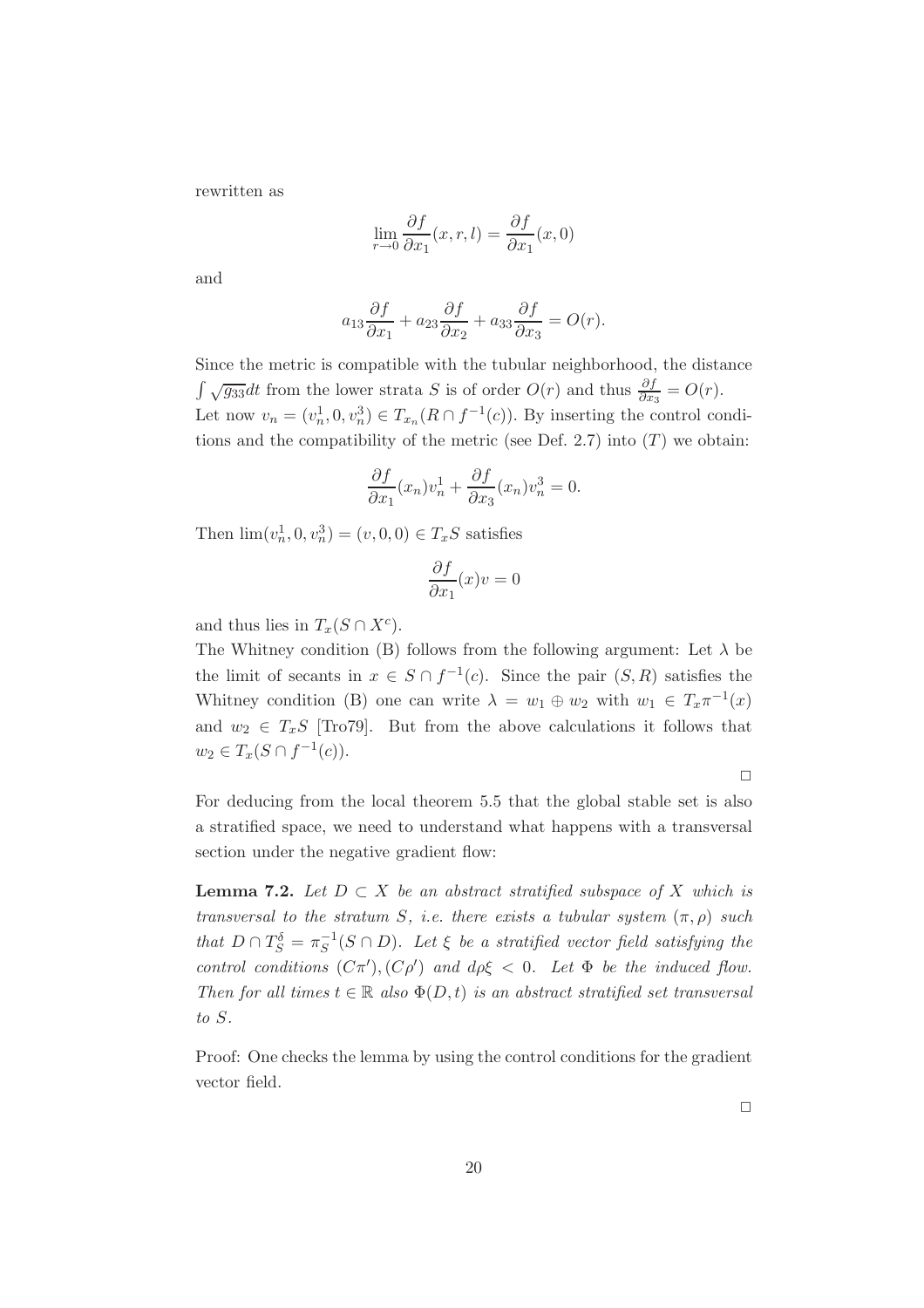rewritten as

$$
\lim_{r \to 0} \frac{\partial f}{\partial x_1}(x, r, l) = \frac{\partial f}{\partial x_1}(x, 0)
$$

and

$$
a_{13}\frac{\partial f}{\partial x_1} + a_{23}\frac{\partial f}{\partial x_2} + a_{33}\frac{\partial f}{\partial x_3} = O(r).
$$

Since the metric is compatible with the tubular neighborhood, the distance  $\int \sqrt{g_{33}}dt$  from the lower strata S is of order  $O(r)$  and thus  $\frac{\partial f}{\partial x_3} = O(r)$ . Let now  $v_n = (v_n^1, 0, v_n^3) \in T_{x_n}(R \cap f^{-1}(c))$ . By inserting the control conditions and the compatibility of the metric (see Def. 2.7) into  $(T)$  we obtain:

$$
\frac{\partial f}{\partial x_1}(x_n)v_n^1 + \frac{\partial f}{\partial x_3}(x_n)v_n^3 = 0.
$$

Then  $\lim_{n \to \infty} (v_n^1, 0, v_n^3) = (v, 0, 0) \in T_xS$  satisfies

$$
\frac{\partial f}{\partial x_1}(x)v = 0
$$

and thus lies in  $T_x(S \cap X^c)$ .

The Whitney condition (B) follows from the following argument: Let  $\lambda$  be the limit of secants in  $x \in S \cap f^{-1}(c)$ . Since the pair  $(S, R)$  satisfies the Whitney condition (B) one can write  $\lambda = w_1 \oplus w_2$  with  $w_1 \in T_x \pi^{-1}(x)$ and  $w_2 \in T_xS$  [Tro79]. But from the above calculations it follows that  $w_2 \in T_x(S \cap f^{-1}(c)).$ 

 $\Box$ 

For deducing from the local theorem 5.5 that the global stable set is also a stratified space, we need to understand what happens with a transversal section under the negative gradient flow:

**Lemma 7.2.** *Let*  $D ⊂ X$  *be an abstract stratified subspace of*  $X$  *which is transversal to the stratum S, i.e. there exists a tubular system*  $(\pi, \rho)$  *such that*  $D \cap T_S^{\delta} = \pi_S^{-1}(S \cap D)$ *. Let*  $\xi$  *be a stratified vector field satisfying the control conditions*  $(C\pi')$ ,  $(C\rho')$  *and*  $d\rho\xi < 0$ . Let  $\Phi$  *be the induced flow. Then for all times*  $t \in \mathbb{R}$  *also*  $\Phi(D, t)$  *is an abstract stratified set transversal to* S*.*

Proof: One checks the lemma by using the control conditions for the gradient vector field.

 $\Box$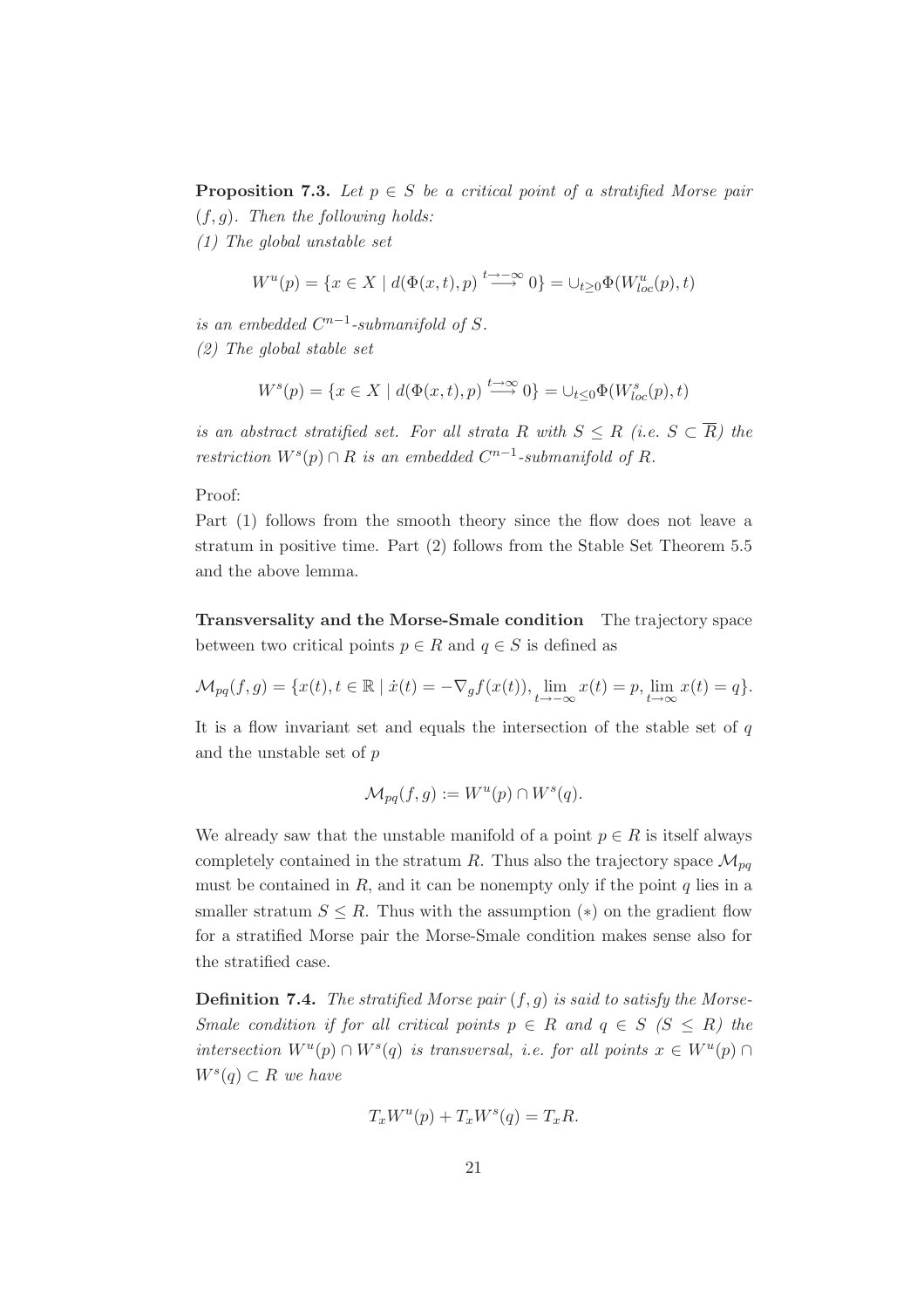**Proposition 7.3.** *Let*  $p \in S$  *be a critical point of a stratified Morse pair* (f,g)*. Then the following holds:*

*(1) The global unstable set*

$$
W^u(p) = \{ x \in X \mid d(\Phi(x, t), p) \stackrel{t \to -\infty}{\longrightarrow} 0 \} = \cup_{t \geq 0} \Phi(W^u_{loc}(p), t)
$$

*is an embedded*  $C^{n-1}$ -*submanifold of* S.

*(2) The global stable set*

$$
W^{s}(p) = \{ x \in X \mid d(\Phi(x,t), p) \stackrel{t \to \infty}{\longrightarrow} 0 \} = \cup_{t \leq 0} \Phi(W^{s}_{loc}(p), t)
$$

*is an abstract stratified set. For all strata* R *with*  $S \leq R$  *(i.e.*  $S \subset \overline{R}$ *) the restriction*  $W^s(p) \cap R$  *is an embedded*  $C^{n-1}$ -submanifold of R.

Proof:

Part (1) follows from the smooth theory since the flow does not leave a stratum in positive time. Part (2) follows from the Stable Set Theorem 5.5 and the above lemma.

**Transversality and the Morse-Smale condition** The trajectory space between two critical points  $p \in R$  and  $q \in S$  is defined as

$$
\mathcal{M}_{pq}(f,g) = \{x(t), t \in \mathbb{R} \mid \dot{x}(t) = -\nabla_g f(x(t)), \lim_{t \to -\infty} x(t) = p, \lim_{t \to \infty} x(t) = q\}.
$$

It is a flow invariant set and equals the intersection of the stable set of  $q$ and the unstable set of p

$$
\mathcal{M}_{pq}(f,g) := W^u(p) \cap W^s(q).
$$

We already saw that the unstable manifold of a point  $p \in R$  is itself always completely contained in the stratum R. Thus also the trajectory space  $\mathcal{M}_{nq}$ must be contained in  $R$ , and it can be nonempty only if the point  $q$  lies in a smaller stratum  $S \leq R$ . Thus with the assumption (\*) on the gradient flow for a stratified Morse pair the Morse-Smale condition makes sense also for the stratified case.

**Definition 7.4.** *The stratified Morse pair* (f,g) *is said to satisfy the Morse-Smale condition if for all critical points*  $p \in R$  *and*  $q \in S$  *(S*  $\leq R$ *) the intersection*  $W^u(p) \cap W^s(q)$  *is transversal, i.e. for all points*  $x \in W^u(p) \cap$  $W^s(q) \subset R$  *we have* 

$$
T_x W^u(p) + T_x W^s(q) = T_x R.
$$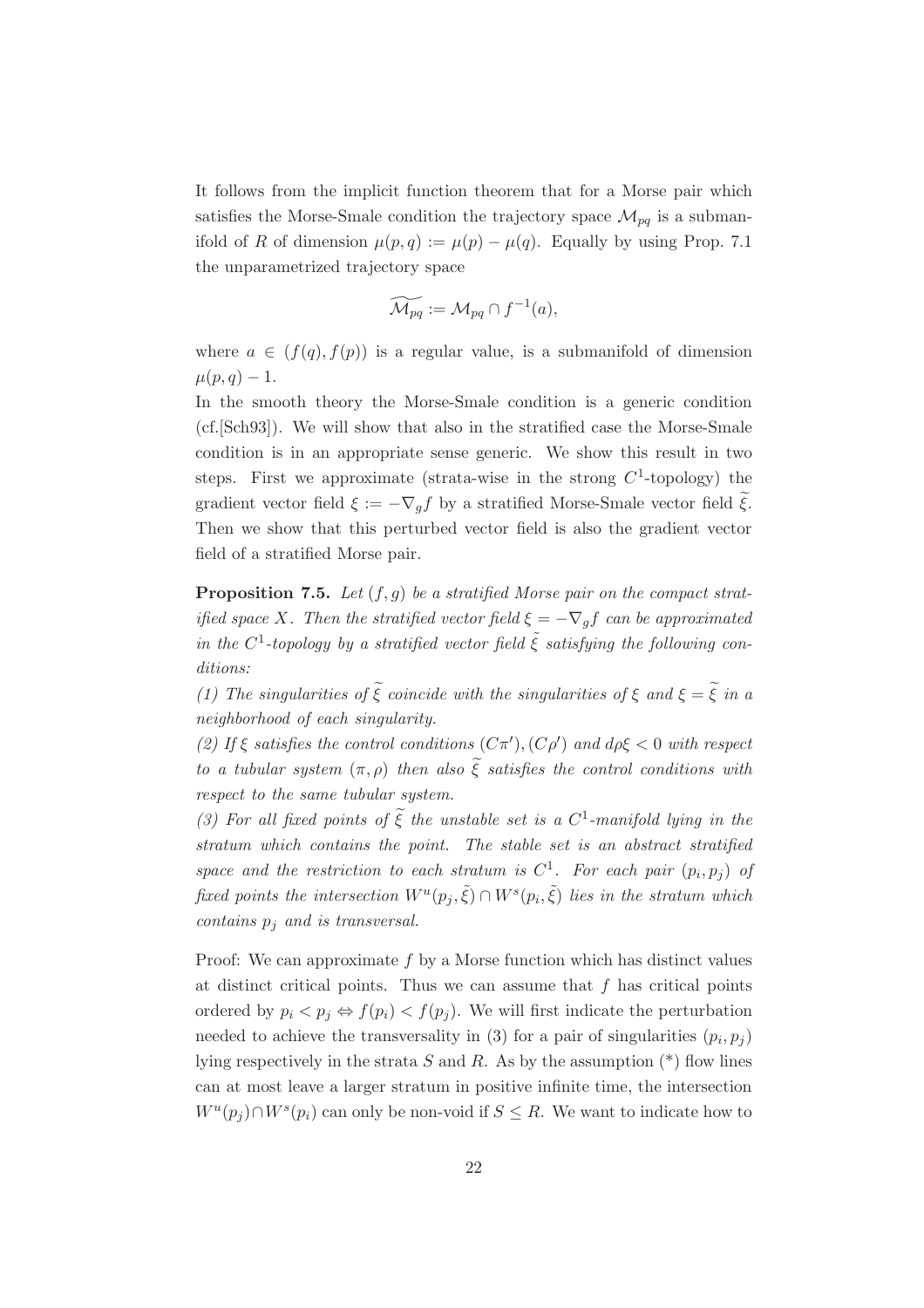It follows from the implicit function theorem that for a Morse pair which satisfies the Morse-Smale condition the trajectory space  $\mathcal{M}_{pq}$  is a submanifold of R of dimension  $\mu(p,q) := \mu(p) - \mu(q)$ . Equally by using Prop. 7.1 the unparametrized trajectory space

$$
\widetilde{\mathcal{M}_{pq}} := \mathcal{M}_{pq} \cap f^{-1}(a),
$$

where  $a \in (f(q), f(p))$  is a regular value, is a submanifold of dimension  $\mu(p,q) - 1.$ 

In the smooth theory the Morse-Smale condition is a generic condition (cf.[Sch93]). We will show that also in the stratified case the Morse-Smale condition is in an appropriate sense generic. We show this result in two steps. First we approximate (strata-wise in the strong  $C^1$ -topology) the gradient vector field  $\xi := -\nabla_g f$  by a stratified Morse-Smale vector field  $\xi$ . Then we show that this perturbed vector field is also the gradient vector field of a stratified Morse pair.

**Proposition 7.5.** *Let* (f,g) *be a stratified Morse pair on the compact stratified space* X. Then the stratified vector field  $\xi = -\nabla_q f$  can be approximated *in the*  $C^1$ -topology by a stratified vector field  $\tilde{\xi}$  *satisfying the following conditions:*

(1) The singularities of  $\xi$  coincide with the singularities of  $\xi$  and  $\xi = \xi$  in a *neighborhood of each singularity.*

(2) If  $\xi$  *satisfies the control conditions*  $(C\pi')$ ,  $(C\rho')$  *and*  $d\rho\xi < 0$  *with respect to a tubular system* (π, ρ) *then also* ξ *satisfies the control conditions with respect to the same tubular system.*

(3) For all fixed points of  $\tilde{\xi}$  the unstable set is a  $C^1$ -manifold lying in the *stratum which contains the point. The stable set is an abstract stratified space and the restriction to each stratum is*  $C^1$ *. For each pair*  $(p_i, p_j)$  of *fixed points the intersection*  $W^u(p_i, \tilde{\xi}) \cap W^s(p_i, \tilde{\xi})$  *lies in the stratum which contains* p<sup>j</sup> *and is transversal.*

Proof: We can approximate f by a Morse function which has distinct values at distinct critical points. Thus we can assume that  $f$  has critical points ordered by  $p_i < p_j \Leftrightarrow f(p_i) < f(p_j)$ . We will first indicate the perturbation needed to achieve the transversality in (3) for a pair of singularities  $(p_i, p_j)$ lying respectively in the strata S and R. As by the assumption  $(*)$  flow lines can at most leave a larger stratum in positive infinite time, the intersection  $W^u(p_i) \cap W^s(p_i)$  can only be non-void if  $S \leq R$ . We want to indicate how to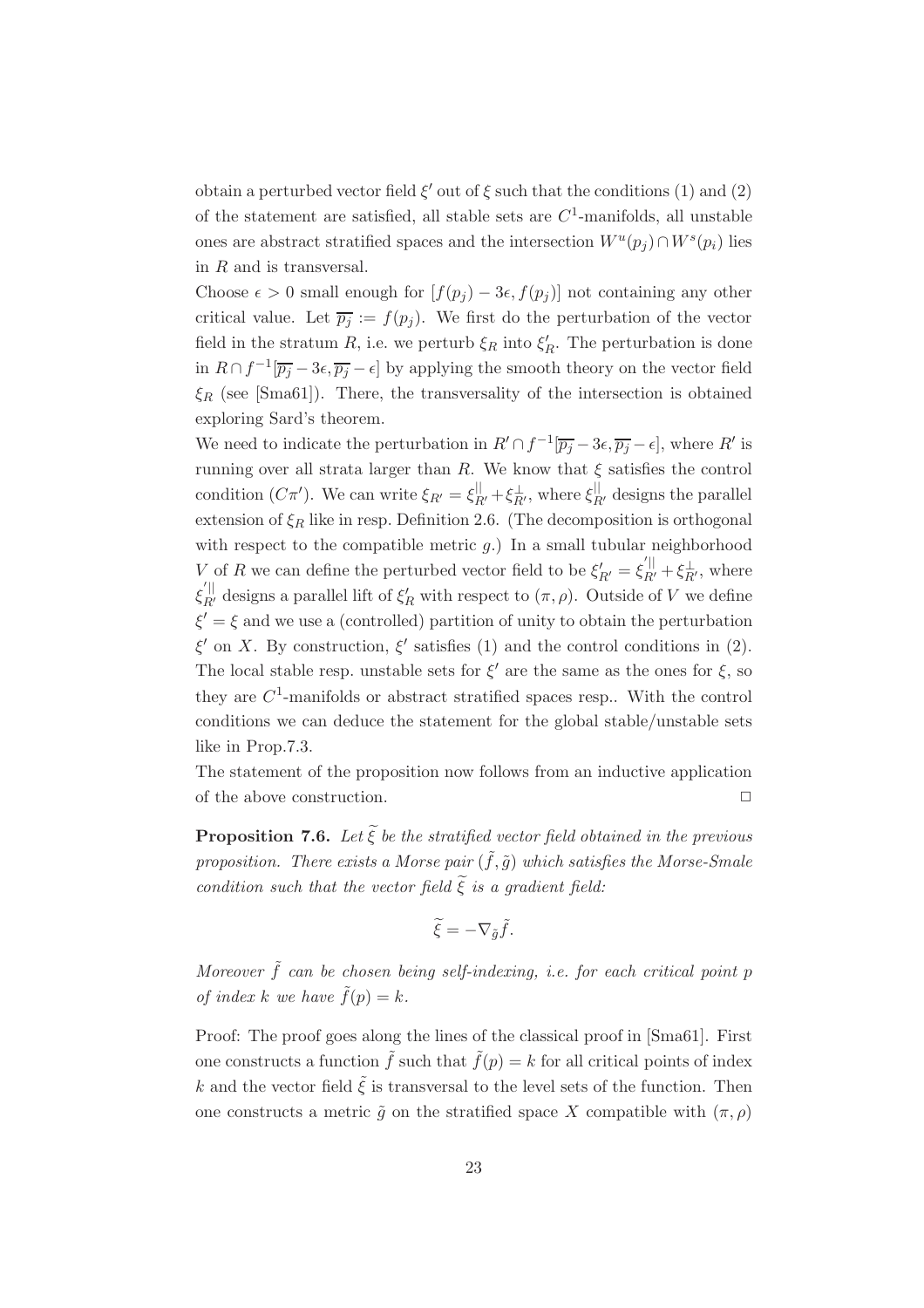obtain a perturbed vector field  $\xi'$  out of  $\xi$  such that the conditions (1) and (2) of the statement are satisfied, all stable sets are  $C<sup>1</sup>$ -manifolds, all unstable ones are abstract stratified spaces and the intersection  $W^u(p_j) \cap W^s(p_i)$  lies in R and is transversal.

Choose  $\epsilon > 0$  small enough for  $[f(p_j) - 3\epsilon, f(p_j)]$  not containing any other critical value. Let  $\overline{p_i} := f(p_i)$ . We first do the perturbation of the vector field in the stratum  $R$ , i.e. we perturb  $\xi_R$  into  $\xi_R'$ . The perturbation is done in  $R \cap f^{-1}[\overline{p_j} - 3\epsilon, \overline{p_j} - \epsilon]$  by applying the smooth theory on the vector field  $\xi_R$  (see [Sma61]). There, the transversality of the intersection is obtained exploring Sard's theorem.

We need to indicate the perturbation in  $R' \cap f^{-1}[\overline{p_j} - 3\epsilon, \overline{p_j} - \epsilon]$ , where R' is running over all strata larger than R. We know that  $\xi$  satisfies the control condition  $(C\pi')$ . We can write  $\xi_{R'} = \xi_{R'}^{\parallel} + \xi_{R'}^{\perp}$ , where  $\xi_{R'}^{\parallel}$  designs the parallel extension of  $\xi_R$  like in resp. Definition 2.6. (The decomposition is orthogonal with respect to the compatible metric  $g$ .) In a small tubular neighborhood V of R we can define the perturbed vector field to be  $\xi'_{R'} = \xi_{R'}^{\perp \parallel} + \xi_{R'}^{\perp}$ , where  $\xi_{R'}^{'}$  designs a parallel lift of  $\xi_R'$  with respect to  $(\pi, \rho)$ . Outside of V we define  $\xi' = \xi$  and we use a (controlled) partition of unity to obtain the perturbation  $\xi'$  on X. By construction,  $\xi'$  satisfies (1) and the control conditions in (2). The local stable resp. unstable sets for  $\xi'$  are the same as the ones for  $\xi$ , so they are  $C^1$ -manifolds or abstract stratified spaces resp.. With the control conditions we can deduce the statement for the global stable/unstable sets like in Prop.7.3.

The statement of the proposition now follows from an inductive application of the above construction.  $\hfill \square$ 

**Proposition 7.6.** *Let* ξ *be the stratified vector field obtained in the previous* **proposition.** There exists a Morse pair  $(\tilde{f}, \tilde{g})$  which satisfies the Morse-Smale *condition such that the vector field*  $\xi$  *is a gradient field:* 

$$
\widetilde{\xi} = -\nabla_{\tilde{g}} \tilde{f}.
$$

*Moreover*  $\tilde{f}$  *can be chosen being self-indexing, i.e. for each critical point p of index* k *we have*  $\tilde{f}(p) = k$ .

Proof: The proof goes along the lines of the classical proof in [Sma61]. First one constructs a function  $\tilde{f}$  such that  $\tilde{f}(p) = k$  for all critical points of index k and the vector field  $\tilde{\xi}$  is transversal to the level sets of the function. Then one constructs a metric  $\tilde{q}$  on the stratified space X compatible with  $(\pi, \rho)$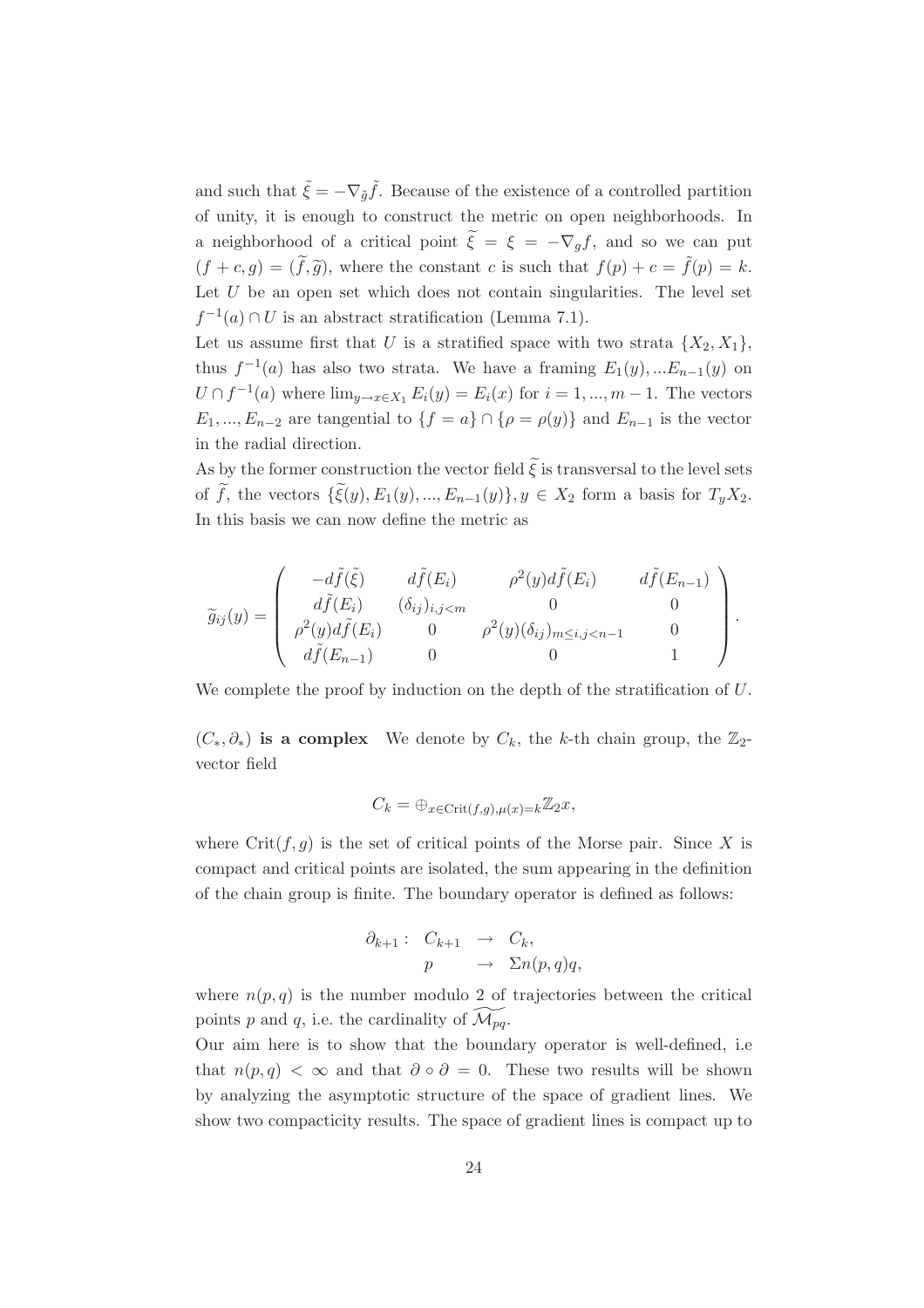and such that  $\tilde{\xi} = -\nabla_{\tilde{q}} \tilde{f}$ . Because of the existence of a controlled partition of unity, it is enough to construct the metric on open neighborhoods. In a neighborhood of a critical point  $\xi = \xi = -\nabla_g f$ , and so we can put  $\overline{a}$  $(f + c, g) = (\tilde{f}, \tilde{g})$ , where the constant c is such that  $f(p) + c = \tilde{f}(p) = k$ . Let  $U$  be an open set which does not contain singularities. The level set  $f^{-1}(a) \cap U$  is an abstract stratification (Lemma 7.1).

Let us assume first that U is a stratified space with two strata  $\{X_2, X_1\}$ , thus  $f^{-1}(a)$  has also two strata. We have a framing  $E_1(y),...E_{n-1}(y)$  on  $U \cap f^{-1}(a)$  where  $\lim_{y \to x \in X_1} E_i(y) = E_i(x)$  for  $i = 1, ..., m-1$ . The vectors  $E_1, ..., E_{n-2}$  are tangential to  $\{f = a\} \cap \{\rho = \rho(y)\}\$ and  $E_{n-1}$  is the vector in the radial direction.

As by the former construction the vector field  $\xi$  is transversal to the level sets  $\overline{\phantom{0}}$ of f, the vectors  $\{\xi(y), E_1(y), ..., E_{n-1}(y)\}, y \in X_2$  form a basis for  $T_y X_2$ . In this basis we can now define the metric as

$$
\widetilde{g}_{ij}(y) = \begin{pmatrix} -d\widetilde{f}(\widetilde{\xi}) & d\widetilde{f}(E_i) & \rho^2(y)d\widetilde{f}(E_i) & d\widetilde{f}(E_{n-1}) \\ d\widetilde{f}(E_i) & (\delta_{ij})_{i,j} & 0 & 0 \\ \rho^2(y)d\widetilde{f}(E_i) & 0 & \rho^2(y)(\delta_{ij})_{m \le i,j} & 0 \\ d\widetilde{f}(E_{n-1}) & 0 & 0 & 1 \end{pmatrix}.
$$

We complete the proof by induction on the depth of the stratification of  $U$ .

 $(C_*, \partial_*)$  is a complex We denote by  $C_k$ , the k-th chain group, the  $\mathbb{Z}_2$ vector field

$$
C_k = \bigoplus_{x \in \text{Crit}(f,g), \mu(x) = k} \mathbb{Z}_2 x,
$$

where  $\text{Crit}(f,g)$  is the set of critical points of the Morse pair. Since X is compact and critical points are isolated, the sum appearing in the definition of the chain group is finite. The boundary operator is defined as follows:

$$
\partial_{k+1} : C_{k+1} \rightarrow C_k,
$$
  

$$
p \rightarrow \Sigma n(p,q)q,
$$

where  $n(p, q)$  is the number modulo 2 of trajectories between the critical points p and q, i.e. the cardinality of  $\widetilde{\mathcal{M}_{pq}}$ .

Our aim here is to show that the boundary operator is well-defined, i.e that  $n(p,q) < \infty$  and that  $\partial \circ \partial = 0$ . These two results will be shown by analyzing the asymptotic structure of the space of gradient lines. We show two compacticity results. The space of gradient lines is compact up to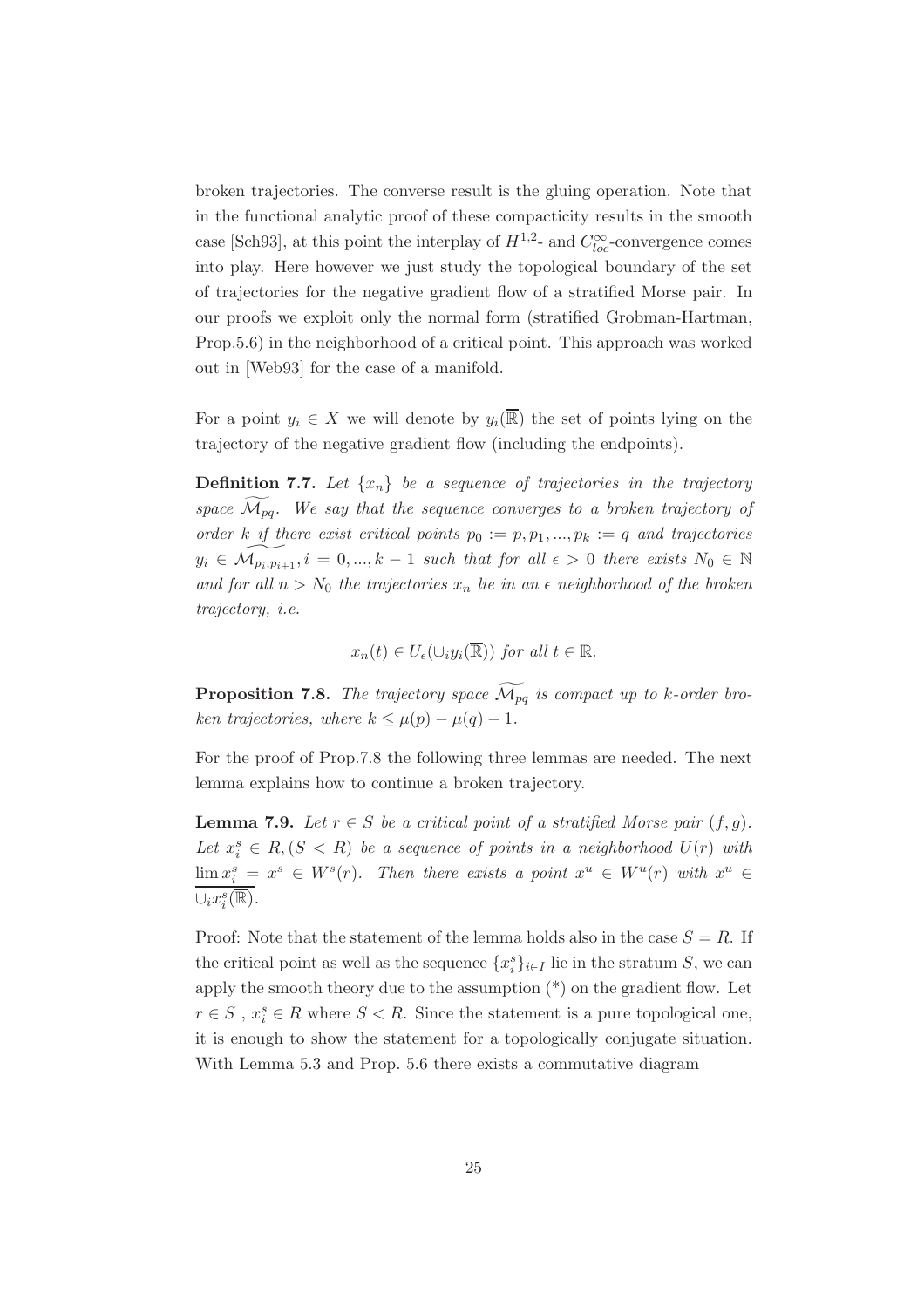broken trajectories. The converse result is the gluing operation. Note that in the functional analytic proof of these compacticity results in the smooth case [Sch93], at this point the interplay of  $H^{1,2}$ - and  $C^{\infty}_{loc}$ -convergence comes into play. Here however we just study the topological boundary of the set of trajectories for the negative gradient flow of a stratified Morse pair. In our proofs we exploit only the normal form (stratified Grobman-Hartman, Prop.5.6) in the neighborhood of a critical point. This approach was worked out in [Web93] for the case of a manifold.

For a point  $y_i \in X$  we will denote by  $y_i(\overline{\mathbb{R}})$  the set of points lying on the trajectory of the negative gradient flow (including the endpoints).

**Definition 7.7.** Let  $\{x_n\}$  be a sequence of trajectories in the trajectory *space*  $\widetilde{\mathcal{M}}_{pq}$ *. We say that the sequence converges to a broken trajectory of order* k *if there exist critical points*  $p_0 := p, p_1, ..., p_k := q$  *and trajectories*  $y_i \in \widetilde{\mathcal{M}_{p_i,p_{i+1}}}, i = 0,...,k-1$  such that for all  $\epsilon > 0$  there exists  $N_0 \in \mathbb{N}$ and for all  $n > N_0$  the trajectories  $x_n$  lie in an  $\epsilon$  neighborhood of the broken *trajectory, i.e.*

$$
x_n(t) \in U_{\epsilon}(\cup_i y_i(\overline{\mathbb{R}}))
$$
 for all  $t \in \mathbb{R}$ .

**Proposition 7.8.** *The trajectory space*  $\widetilde{\mathcal{M}_{pq}}$  *is compact up to k-order broken trajectories, where*  $k \leq \mu(p) - \mu(q) - 1$ *.* 

For the proof of Prop.7.8 the following three lemmas are needed. The next lemma explains how to continue a broken trajectory.

**Lemma 7.9.** *Let*  $r \in S$  *be a critical point of a stratified Morse pair*  $(f, g)$ *.* Let  $x_i^s \in R$ ,  $(S < R)$  *be a sequence of points in a neighborhood*  $U(r)$  *with*  $\lim x_i^s = x^s \in W^s(r)$ . Then there exists a point  $x^u \in W^u(r)$  with  $x^u \in$  $\cup_i x_i^s(\overline{\mathbb{R}})$ .

Proof: Note that the statement of the lemma holds also in the case  $S = R$ . If the critical point as well as the sequence  ${x_i^s}_{i \in I}$  lie in the stratum S, we can apply the smooth theory due to the assumption  $(*)$  on the gradient flow. Let  $r \in S$ ,  $x_i^s \in R$  where  $S < R$ . Since the statement is a pure topological one, it is enough to show the statement for a topologically conjugate situation. With Lemma 5.3 and Prop. 5.6 there exists a commutative diagram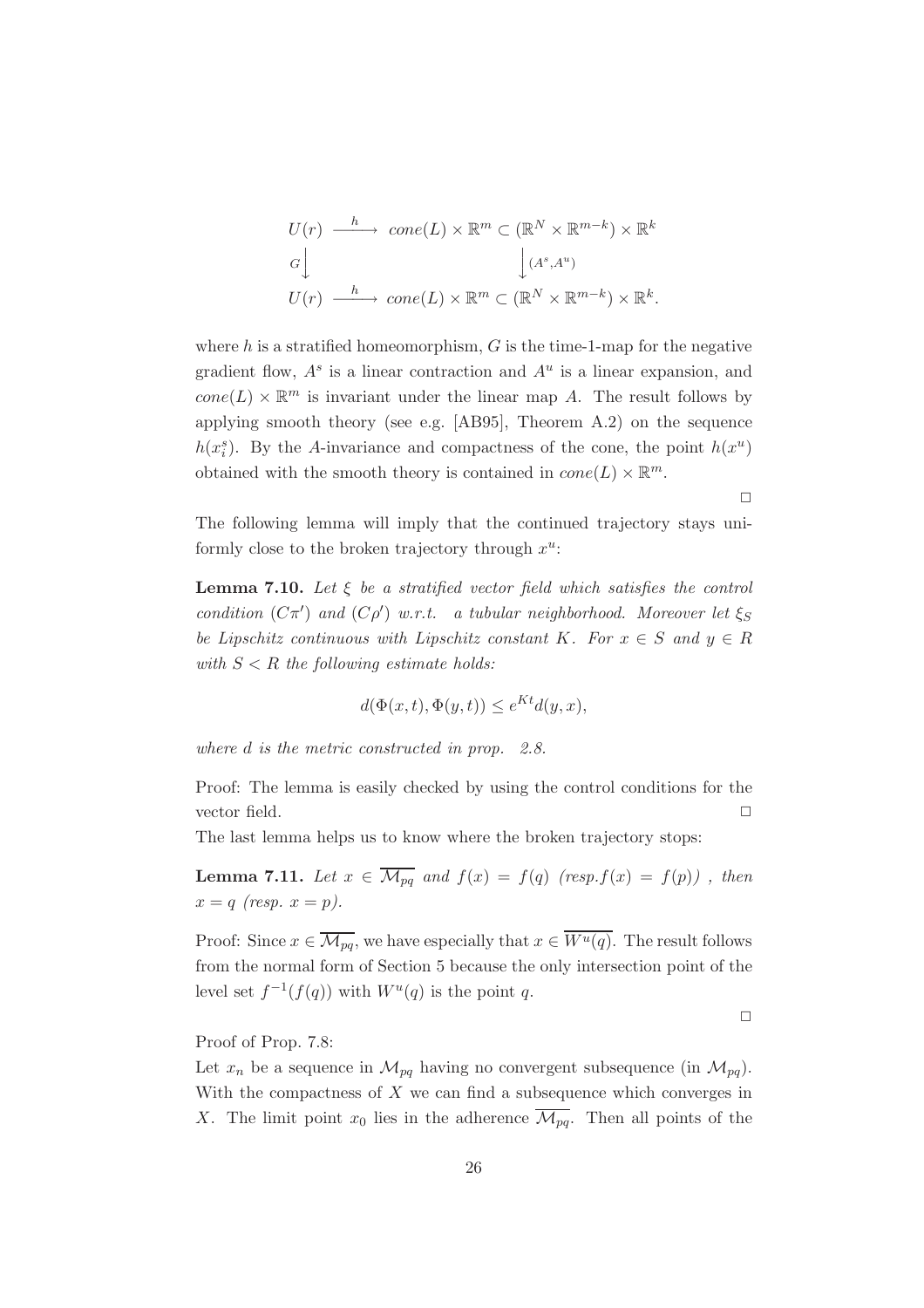$$
U(r) \xrightarrow{h} cone(L) \times \mathbb{R}^m \subset (\mathbb{R}^N \times \mathbb{R}^{m-k}) \times \mathbb{R}^k
$$
  

$$
G \downarrow \qquad \qquad \downarrow (A^s, A^u)
$$
  

$$
U(r) \xrightarrow{h} cone(L) \times \mathbb{R}^m \subset (\mathbb{R}^N \times \mathbb{R}^{m-k}) \times \mathbb{R}^k.
$$

where h is a stratified homeomorphism,  $G$  is the time-1-map for the negative gradient flow,  $A^s$  is a linear contraction and  $A^u$  is a linear expansion, and  $cone(L) \times \mathbb{R}^m$  is invariant under the linear map A. The result follows by applying smooth theory (see e.g. [AB95], Theorem A.2) on the sequence  $h(x_i^s)$ . By the A-invariance and compactness of the cone, the point  $h(x^u)$ obtained with the smooth theory is contained in  $cone(L) \times \mathbb{R}^m$ .

The following lemma will imply that the continued trajectory stays uniformly close to the broken trajectory through  $x^u$ :

**Lemma 7.10.** *Let* ξ *be a stratified vector field which satisfies the control condition*  $(C\pi')$  *and*  $(C\rho')$  *w.r.t. a tubular neighborhood. Moreover let*  $\xi_S$ *be Lipschitz continuous with Lipschitz constant* K. For  $x \in S$  and  $y \in R$ with  $S < R$  the following estimate holds:

$$
d(\Phi(x,t), \Phi(y,t)) \le e^{Kt} d(y,x),
$$

*where* d *is the metric constructed in prop. 2.8.*

Proof: The lemma is easily checked by using the control conditions for the vector field.  $\Box$ 

The last lemma helps us to know where the broken trajectory stops:

**Lemma 7.11.** *Let*  $x \in \overline{\mathcal{M}_{pq}}$  *and*  $f(x) = f(q)$  *(resp.f(x)* =  $f(p)$ *)*, *then*  $x = q$  *(resp.*  $x = p$ ).

Proof: Since  $x \in \overline{\mathcal{M}_{pq}}$ , we have especially that  $x \in \overline{W^u(q)}$ . The result follows from the normal form of Section 5 because the only intersection point of the level set  $f^{-1}(f(q))$  with  $W^u(q)$  is the point q.

 $\Box$ 

 $\Box$ 

Proof of Prop. 7.8:

Let  $x_n$  be a sequence in  $\mathcal{M}_{pq}$  having no convergent subsequence (in  $\mathcal{M}_{pq}$ ). With the compactness of  $X$  we can find a subsequence which converges in X. The limit point  $x_0$  lies in the adherence  $\overline{\mathcal{M}_{pq}}$ . Then all points of the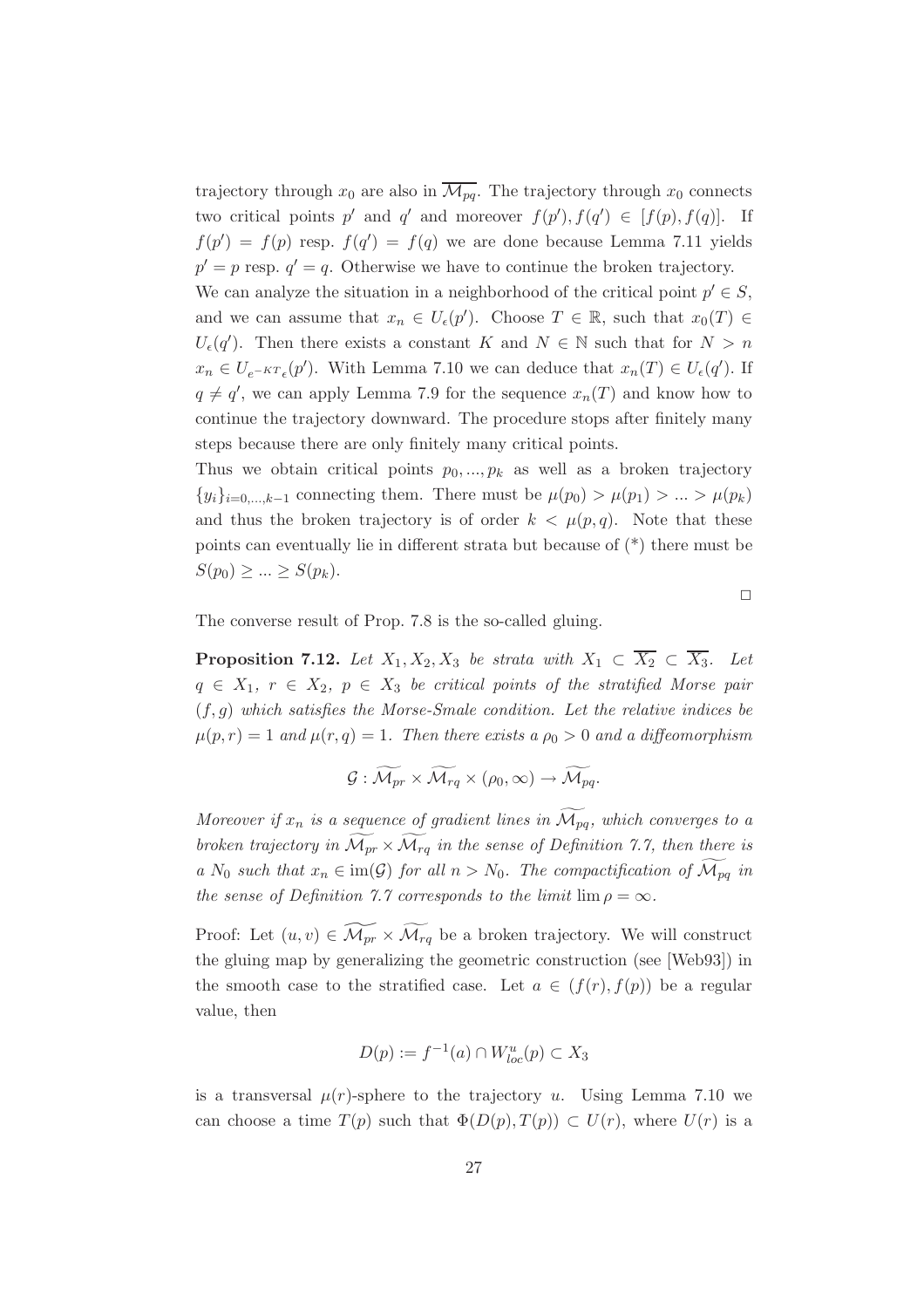trajectory through  $x_0$  are also in  $\overline{\mathcal{M}_{pq}}$ . The trajectory through  $x_0$  connects two critical points p' and q' and moreover  $f(p')$ ,  $f(q') \in [f(p), f(q)]$ . If  $f(p') = f(p)$  resp.  $f(q') = f(q)$  we are done because Lemma 7.11 yields  $p' = p$  resp.  $q' = q$ . Otherwise we have to continue the broken trajectory.

We can analyze the situation in a neighborhood of the critical point  $p' \in S$ , and we can assume that  $x_n \in U_{\epsilon}(p')$ . Choose  $T \in \mathbb{R}$ , such that  $x_0(T) \in$  $U_{\epsilon}(q')$ . Then there exists a constant K and  $N \in \mathbb{N}$  such that for  $N > n$  $x_n \in U_{e^{-KT_{\epsilon}}}(p')$ . With Lemma 7.10 we can deduce that  $x_n(T) \in U_{\epsilon}(q')$ . If  $q \neq q'$ , we can apply Lemma 7.9 for the sequence  $x_n(T)$  and know how to continue the trajectory downward. The procedure stops after finitely many steps because there are only finitely many critical points.

Thus we obtain critical points  $p_0, ..., p_k$  as well as a broken trajectory  $\{y_i\}_{i=0,\dots,k-1}$  connecting them. There must be  $\mu(p_0) > \mu(p_1) > \dots > \mu(p_k)$ and thus the broken trajectory is of order  $k < \mu(p,q)$ . Note that these points can eventually lie in different strata but because of (\*) there must be  $S(p_0) \geq ... \geq S(p_k)$ .

 $\Box$ 

The converse result of Prop. 7.8 is the so-called gluing.

**Proposition 7.12.** *Let*  $X_1, X_2, X_3$  *be strata with*  $X_1 \subset \overline{X_2} \subset \overline{X_3}$ *. Let*  $q \in X_1, r \in X_2, p \in X_3$  *be critical points of the stratified Morse pair* (f,g) *which satisfies the Morse-Smale condition. Let the relative indices be*  $\mu(p,r)=1$  and  $\mu(r,q)=1$ . Then there exists a  $\rho_0>0$  and a diffeomorphism

$$
\mathcal{G}: \widetilde{\mathcal{M}_{pr}} \times \widetilde{\mathcal{M}_{rq}} \times (\rho_0, \infty) \rightarrow \widetilde{\mathcal{M}_{pq}}.
$$

*Moreover if*  $x_n$  *is a sequence of gradient lines in*  $\widetilde{\mathcal{M}_{pq}}$ *, which converges to a broken trajectory in*  $\widetilde{\mathcal{M}_{pr}} \times \widetilde{\mathcal{M}_{rq}}$  *in the sense of Definition 7.7, then there is a*  $N_0$  *such that*  $x_n \in \text{im}(\mathcal{G})$  *for all*  $n > N_0$ *. The compactification of*  $\widetilde{\mathcal{M}_{pq}}$  *in the sense of Definition 7.7 corresponds to the limit*  $\lim \rho = \infty$ *.* 

Proof: Let  $(u, v) \in \widetilde{\mathcal{M}_{pr}} \times \widetilde{\mathcal{M}_{rq}}$  be a broken trajectory. We will construct the gluing map by generalizing the geometric construction (see [Web93]) in the smooth case to the stratified case. Let  $a \in (f(r), f(p))$  be a regular value, then

$$
D(p) := f^{-1}(a) \cap W^u_{loc}(p) \subset X_3
$$

is a transversal  $\mu(r)$ -sphere to the trajectory u. Using Lemma 7.10 we can choose a time  $T(p)$  such that  $\Phi(D(p), T(p)) \subset U(r)$ , where  $U(r)$  is a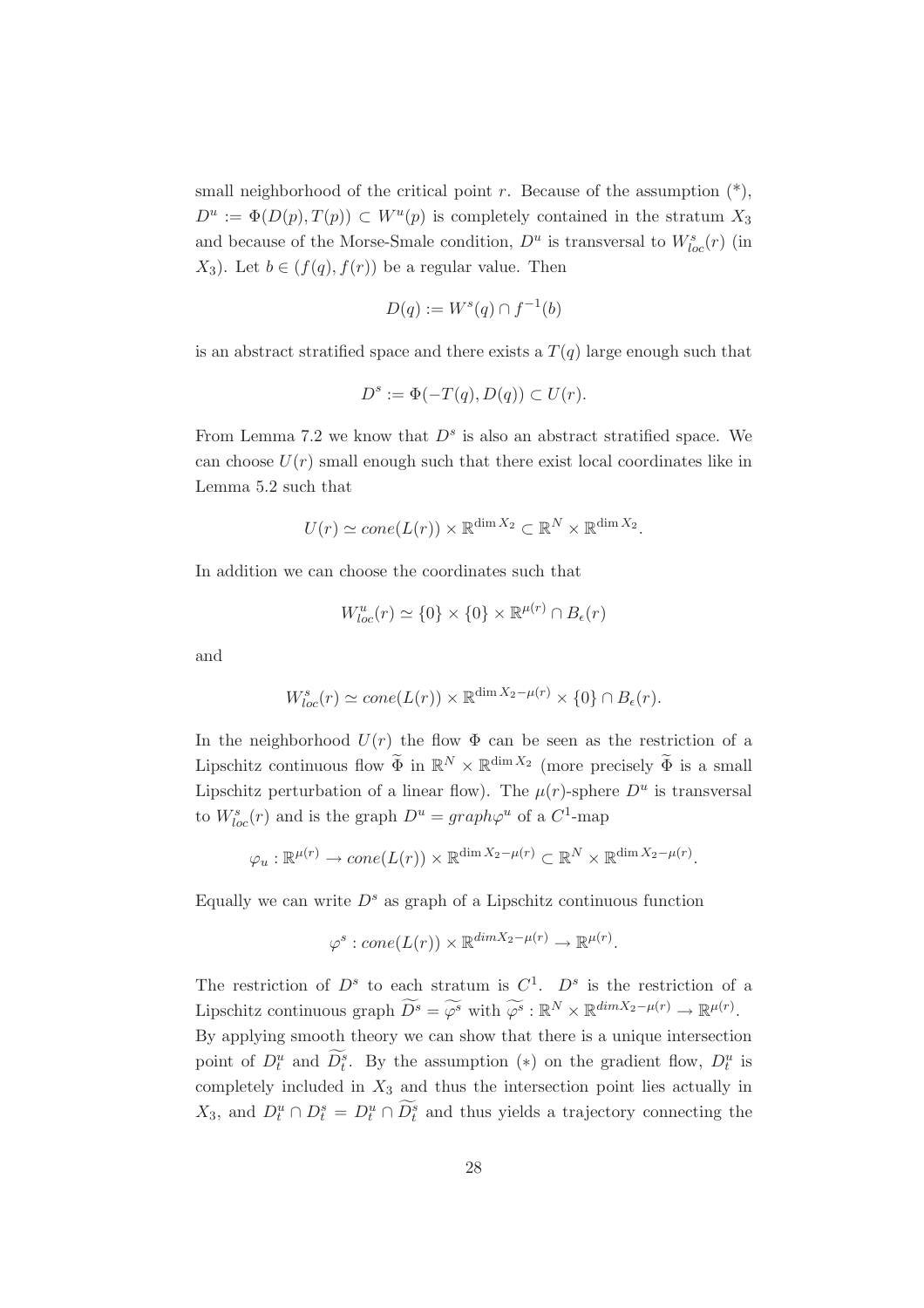small neighborhood of the critical point r. Because of the assumption  $(*)$ ,  $D^u := \Phi(D(p), T(p)) \subset W^u(p)$  is completely contained in the stratum  $X_3$ and because of the Morse-Smale condition,  $D^u$  is transversal to  $W^s_{loc}(r)$  (in  $X_3$ ). Let  $b \in (f(q), f(r))$  be a regular value. Then

$$
D(q) := Ws(q) \cap f^{-1}(b)
$$

is an abstract stratified space and there exists a  $T(q)$  large enough such that

$$
D^s := \Phi(-T(q), D(q)) \subset U(r).
$$

From Lemma 7.2 we know that  $D<sup>s</sup>$  is also an abstract stratified space. We can choose  $U(r)$  small enough such that there exist local coordinates like in Lemma 5.2 such that

$$
U(r) \simeq \text{cone}(L(r)) \times \mathbb{R}^{\dim X_2} \subset \mathbb{R}^N \times \mathbb{R}^{\dim X_2}.
$$

In addition we can choose the coordinates such that

$$
W^u_{loc}(r) \simeq \{0\} \times \{0\} \times \mathbb{R}^{\mu(r)} \cap B_{\epsilon}(r)
$$

and

$$
W_{loc}^{s}(r) \simeq cone(L(r)) \times \mathbb{R}^{\dim X_2 - \mu(r)} \times \{0\} \cap B_{\epsilon}(r).
$$

In the neighborhood  $U(r)$  the flow  $\Phi$  can be seen as the restriction of a Lipschitz continuous flow  $\widetilde{\Phi}$  in  $\mathbb{R}^N \times \mathbb{R}^{\dim X_2}$  (more precisely  $\widetilde{\Phi}$  is a small Lipschitz perturbation of a linear flow). The  $\mu(r)$ -sphere  $D^u$  is transversal to  $W_{loc}^s(r)$  and is the graph  $D^u = graph\varphi^u$  of a  $C^1$ -map

$$
\varphi_u : \mathbb{R}^{\mu(r)} \to \text{cone}(L(r)) \times \mathbb{R}^{\dim X_2 - \mu(r)} \subset \mathbb{R}^N \times \mathbb{R}^{\dim X_2 - \mu(r)}.
$$

Equally we can write  $D<sup>s</sup>$  as graph of a Lipschitz continuous function

$$
\varphi^s:cone(L(r)) \times \mathbb{R}^{\dim X_2 - \mu(r)} \to \mathbb{R}^{\mu(r)}.
$$

The restriction of  $D^s$  to each stratum is  $C^1$ .  $D^s$  is the restriction of a Lipschitz continuous graph  $\widetilde{D^s} = \widetilde{\varphi^s}$  with  $\widetilde{\varphi^s} : \mathbb{R}^N \times \mathbb{R}^{\dim X_2 - \mu(r)} \to \mathbb{R}^{\mu(r)}$ . By applying smooth theory we can show that there is a unique intersection point of  $D_t^u$  and  $\tilde{D}_t^s$ . By the assumption (\*) on the gradient flow,  $D_t^u$  is completely included in  $X_3$  and thus the intersection point lies actually in  $X_3$ , and  $D_t^u \cap D_t^s = D_t^u \cap \tilde{D}_t^s$  and thus yields a trajectory connecting the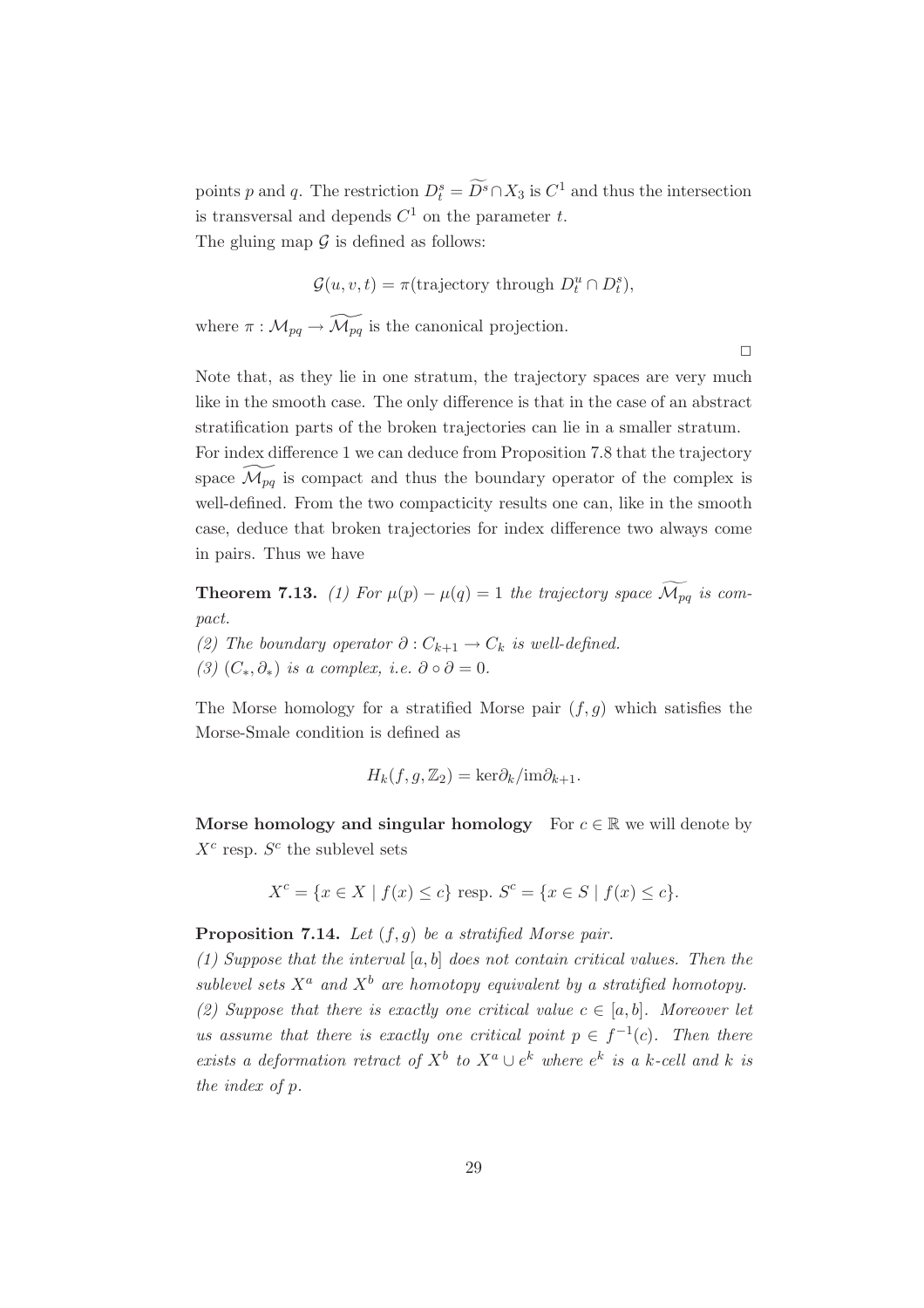points p and q. The restriction  $D_t^s = \widetilde{D}^s \cap X_3$  is  $C^1$  and thus the intersection is transversal and depends  $C^1$  on the parameter  $t$ . The gluing map  $\mathcal G$  is defined as follows:

$$
\mathcal{G}(u, v, t) = \pi(\text{trajectory through } D_t^u \cap D_t^s),
$$

where  $\pi : \mathcal{M}_{pq} \to \widetilde{\mathcal{M}_{pq}}$  is the canonical projection.

 $\Box$ 

Note that, as they lie in one stratum, the trajectory spaces are very much like in the smooth case. The only difference is that in the case of an abstract stratification parts of the broken trajectories can lie in a smaller stratum. For index difference 1 we can deduce from Proposition 7.8 that the trajectory space  $\widetilde{\mathcal{M}_{pq}}$  is compact and thus the boundary operator of the complex is well-defined. From the two compacticity results one can, like in the smooth case, deduce that broken trajectories for index difference two always come in pairs. Thus we have

**Theorem 7.13.** *(1) For*  $\mu(p) - \mu(q) = 1$  *the trajectory space*  $\widetilde{\mathcal{M}_{pq}}$  *is compact.*

- *(2)* The boundary operator  $\partial$  :  $C_{k+1}$  →  $C_k$  is well-defined.
- *(3)*  $(C_*, \partial_*)$  *is a complex, i.e.*  $\partial \circ \partial = 0$ *.*

The Morse homology for a stratified Morse pair  $(f, g)$  which satisfies the Morse-Smale condition is defined as

$$
H_k(f, g, \mathbb{Z}_2) = \text{ker}\partial_k/\text{im}\partial_{k+1}.
$$

**Morse homology and singular homology** For  $c \in \mathbb{R}$  we will denote by  $X^c$  resp.  $S^c$  the sublevel sets

$$
X^{c} = \{ x \in X \mid f(x) \le c \} \text{ resp. } S^{c} = \{ x \in S \mid f(x) \le c \}.
$$

**Proposition 7.14.** *Let* (f,g) *be a stratified Morse pair.*

*(1) Suppose that the interval* [a, b] *does not contain critical values. Then the sublevel sets*  $X^a$  *and*  $X^b$  *are homotopy equivalent by a stratified homotopy. (2) Suppose that there is exactly one critical value*  $c \in [a, b]$ *. Moreover let us assume that there is exactly one critical point*  $p \in f^{-1}(c)$ *. Then there exists a deformation retract of*  $X^b$  *to*  $X^a \cup e^k$  *where*  $e^k$  *is a k-cell and* k *is the index of* p*.*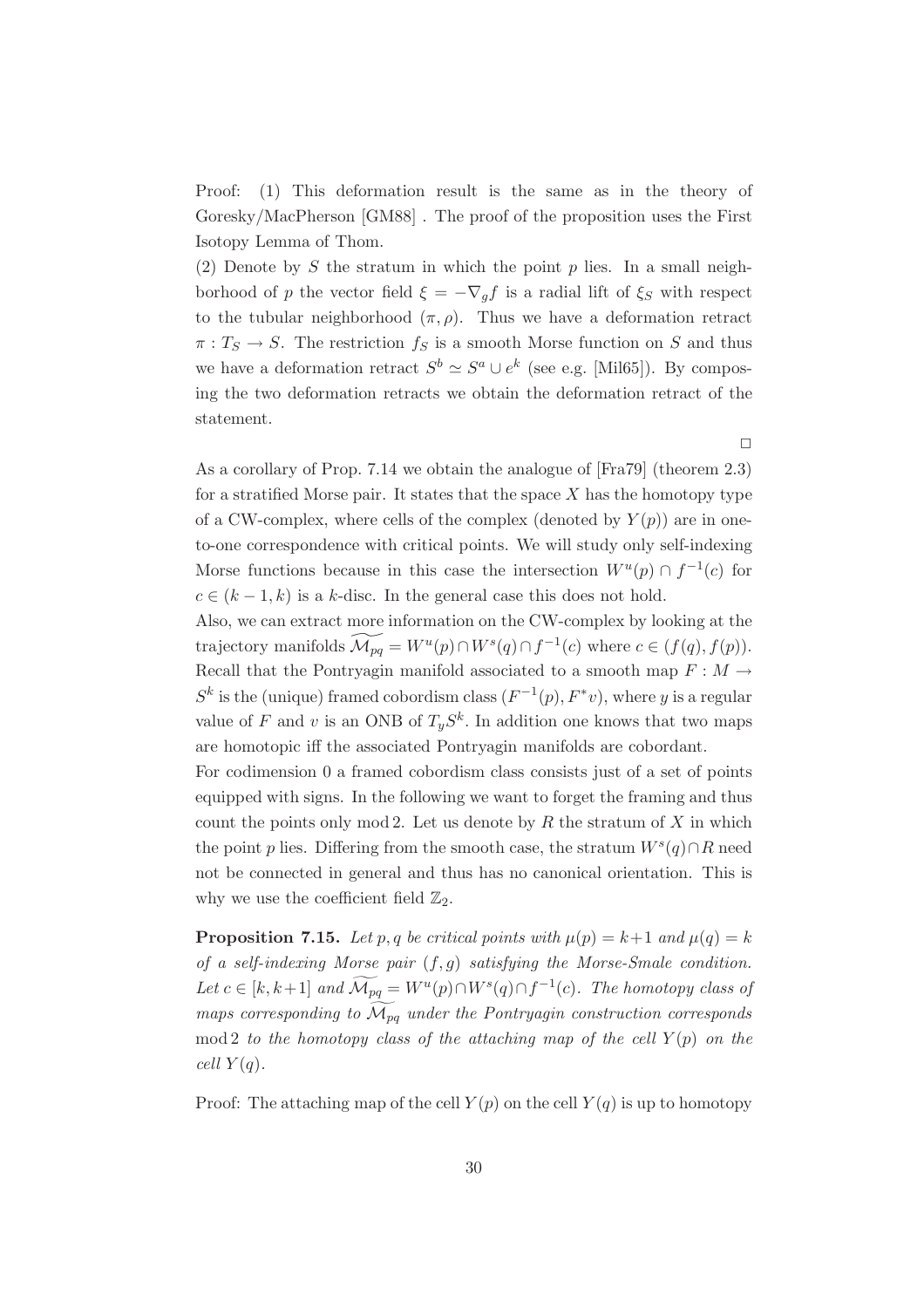Proof: (1) This deformation result is the same as in the theory of Goresky/MacPherson [GM88] . The proof of the proposition uses the First Isotopy Lemma of Thom.

(2) Denote by S the stratum in which the point  $p$  lies. In a small neighborhood of p the vector field  $\xi = -\nabla_g f$  is a radial lift of  $\xi_S$  with respect to the tubular neighborhood  $(\pi, \rho)$ . Thus we have a deformation retract  $\pi: T_S \to S$ . The restriction  $f_S$  is a smooth Morse function on S and thus we have a deformation retract  $S^b \simeq S^a \cup e^k$  (see e.g. [Mil65]). By composing the two deformation retracts we obtain the deformation retract of the statement.

As a corollary of Prop. 7.14 we obtain the analogue of [Fra79] (theorem 2.3) for a stratified Morse pair. It states that the space  $X$  has the homotopy type of a CW-complex, where cells of the complex (denoted by  $Y(p)$ ) are in oneto-one correspondence with critical points. We will study only self-indexing Morse functions because in this case the intersection  $W^u(p) \cap f^{-1}(c)$  for  $c \in (k-1, k)$  is a k-disc. In the general case this does not hold.

 $\Box$ 

Also, we can extract more information on the CW-complex by looking at the trajectory manifolds  $\widetilde{\mathcal{M}_{pq}} = W^u(p) \cap W^s(q) \cap f^{-1}(c)$  where  $c \in (f(q), f(p)).$ Recall that the Pontryagin manifold associated to a smooth map  $F : M \to$  $S<sup>k</sup>$  is the (unique) framed cobordism class  $(F<sup>-1</sup>(p), F<sup>*</sup>v)$ , where y is a regular value of F and v is an ONB of  $T_yS^k$ . In addition one knows that two maps are homotopic iff the associated Pontryagin manifolds are cobordant.

For codimension 0 a framed cobordism class consists just of a set of points equipped with signs. In the following we want to forget the framing and thus count the points only mod 2. Let us denote by  $R$  the stratum of  $X$  in which the point p lies. Differing from the smooth case, the stratum  $W^s(q) \cap R$  need not be connected in general and thus has no canonical orientation. This is why we use the coefficient field  $\mathbb{Z}_2$ .

**Proposition 7.15.** Let p, q be critical points with  $\mu(p) = k+1$  and  $\mu(q) = k$ *of a self-indexing Morse pair* (f,g) *satisfying the Morse-Smale condition. Let*  $c \in [k, k+1]$  *and*  $\widetilde{\mathcal{M}_{pq}} = W^u(p) \cap W^s(q) \cap f^{-1}(c)$ *. The homotopy class of maps corresponding to*  $\overline{\mathcal{M}}_{pq}$  *under the Pontryagin construction corresponds* mod 2 *to the homotopy class of the attaching map of the cell*  $Y(p)$  *on the cell*  $Y(q)$ *.* 

Proof: The attaching map of the cell  $Y(p)$  on the cell  $Y(q)$  is up to homotopy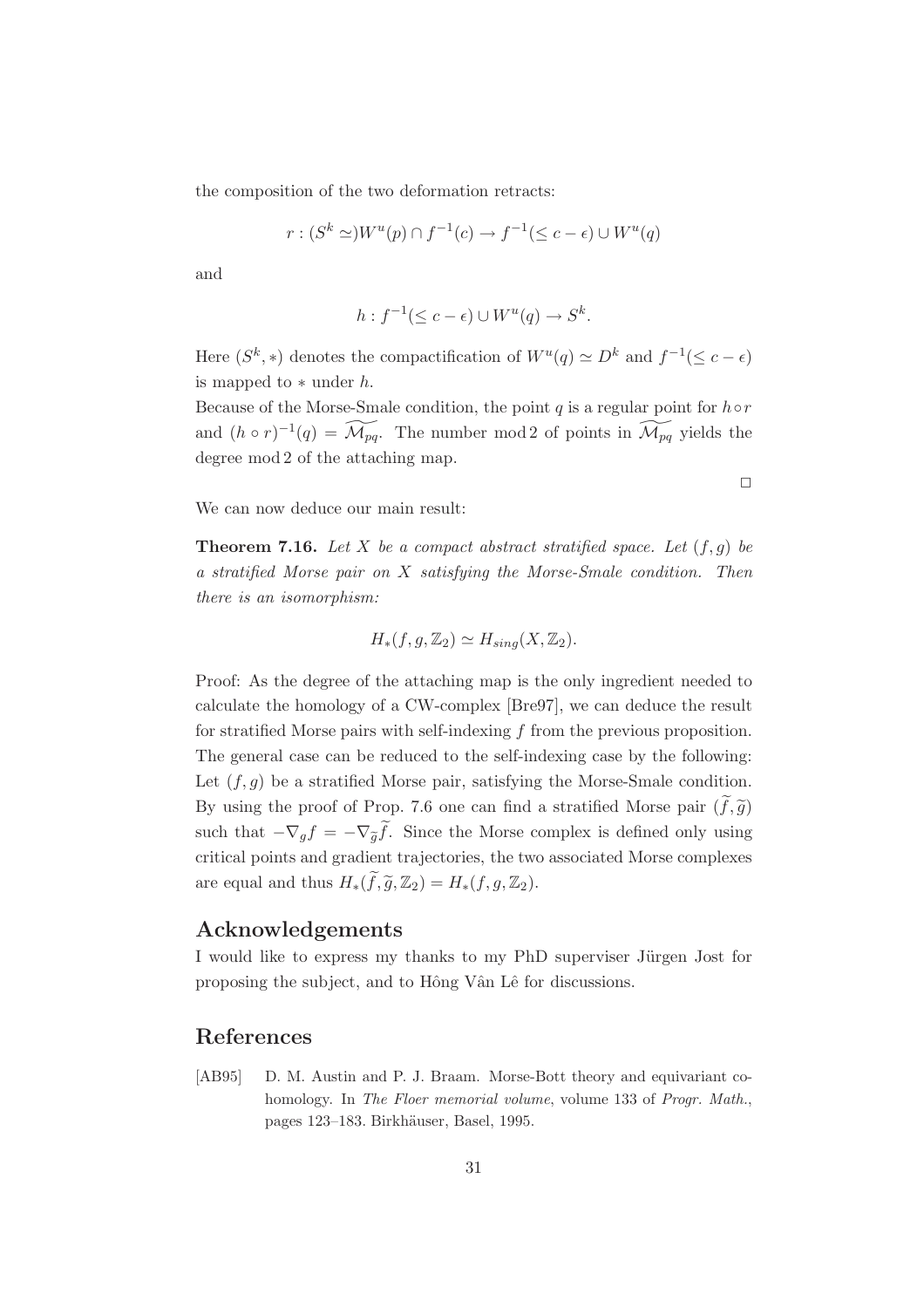the composition of the two deformation retracts:

$$
r:(S^k \simeq)W^u(p) \cap f^{-1}(c) \to f^{-1}(\leq c - \epsilon) \cup W^u(q)
$$

and

$$
h: f^{-1}(\leq c - \epsilon) \cup W^u(q) \to S^k.
$$

Here  $(S^k, *)$  denotes the compactification of  $W^u(q) \simeq D^k$  and  $f^{-1}(\leq c - \epsilon)$ is mapped to  $*$  under  $h$ .

Because of the Morse-Smale condition, the point  $q$  is a regular point for  $h \circ r$ and  $(h \circ r)^{-1}(q) = \widetilde{\mathcal{M}_{pq}}$ . The number mod 2 of points in  $\widetilde{\mathcal{M}_{pq}}$  yields the degree mod 2 of the attaching map.

 $\Box$ 

We can now deduce our main result:

**Theorem 7.16.** Let X be a compact abstract stratified space. Let  $(f, g)$  be *a stratified Morse pair on* X *satisfying the Morse-Smale condition. Then there is an isomorphism:*

$$
H_*(f,g,\mathbb{Z}_2)\simeq H_{sing}(X,\mathbb{Z}_2).
$$

Proof: As the degree of the attaching map is the only ingredient needed to calculate the homology of a CW-complex [Bre97], we can deduce the result for stratified Morse pairs with self-indexing  $f$  from the previous proposition. The general case can be reduced to the self-indexing case by the following: Let  $(f,g)$  be a stratified Morse pair, satisfying the Morse-Smale condition. By using the proof of Prop. 7.6 one can find a stratified Morse pair  $(f, \tilde{g})$ Let  $(f, g)$  be a stratified Morse pair, satisfying the Morse-Smale condition.<br>By using the proof of Prop. 7.6 one can find a stratified Morse pair  $(\tilde{f}, \tilde{g})$ <br>such that  $-\nabla_g f = -\nabla_{\tilde{g}} \tilde{f}$ . Since the Morse compl critical points and gradient trajectories, the two associated Morse complexes are equal and thus  $H_*(\widetilde{f}, \widetilde{g}, \mathbb{Z}_2) = H_*(f, g, \mathbb{Z}_2).$ 

#### **Acknowledgements**

I would like to express my thanks to my PhD superviser Jürgen Jost for proposing the subject, and to Hông Vân Lê for discussions.

#### **References**

[AB95] D. M. Austin and P. J. Braam. Morse-Bott theory and equivariant cohomology. In *The Floer memorial volume*, volume 133 of *Progr. Math.*, pages 123–183. Birkhäuser, Basel, 1995.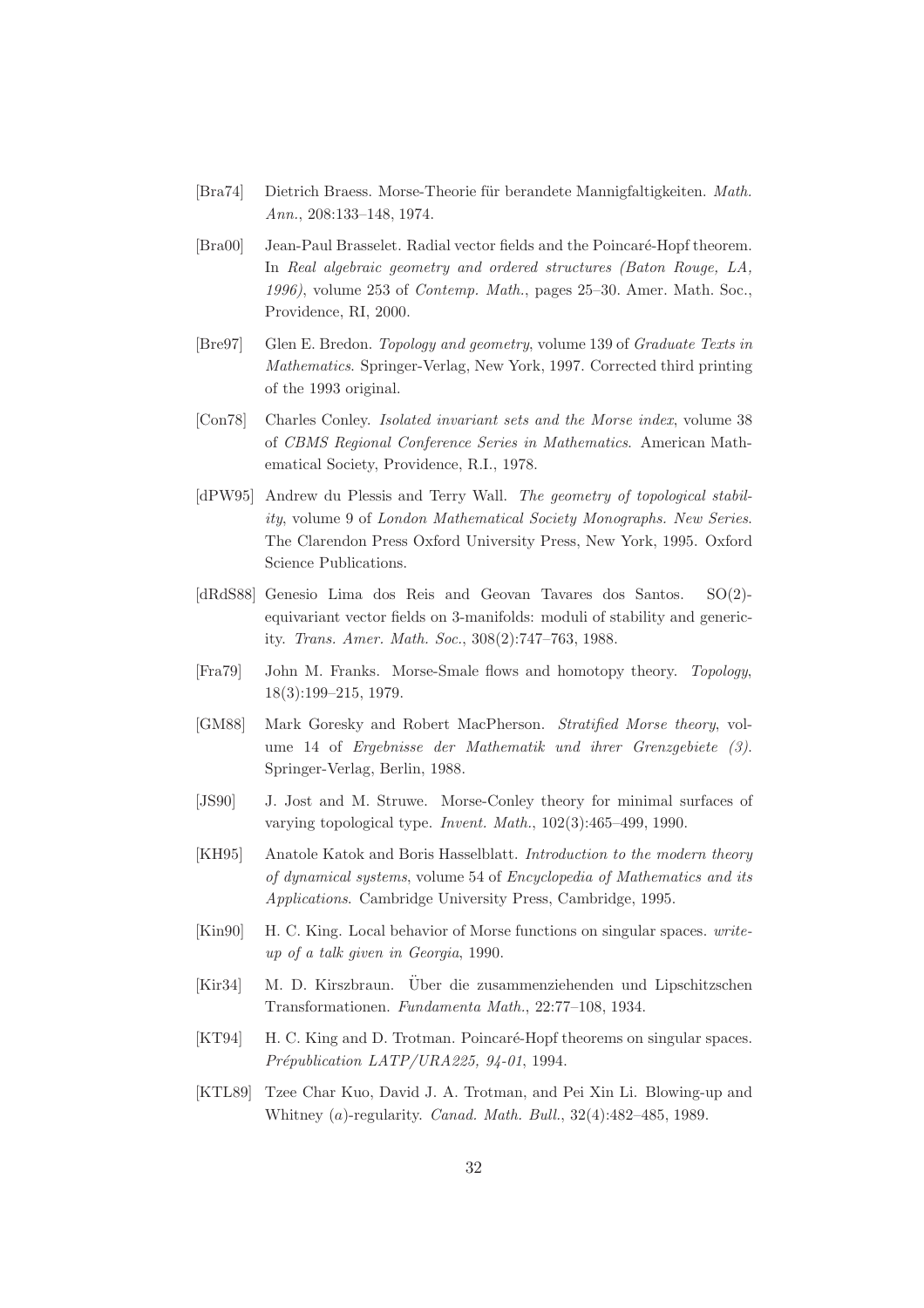- [Bra74] Dietrich Braess. Morse-Theorie für berandete Mannigfaltigkeiten. Math. *Ann.*, 208:133–148, 1974.
- [Bra00] Jean-Paul Brasselet. Radial vector fields and the Poincaré-Hopf theorem. In *Real algebraic geometry and ordered structures (Baton Rouge, LA, 1996)*, volume 253 of *Contemp. Math.*, pages 25–30. Amer. Math. Soc., Providence, RI, 2000.
- [Bre97] Glen E. Bredon. *Topology and geometry*, volume 139 of *Graduate Texts in Mathematics*. Springer-Verlag, New York, 1997. Corrected third printing of the 1993 original.
- [Con78] Charles Conley. *Isolated invariant sets and the Morse index*, volume 38 of *CBMS Regional Conference Series in Mathematics*. American Mathematical Society, Providence, R.I., 1978.
- [dPW95] Andrew du Plessis and Terry Wall. *The geometry of topological stability*, volume 9 of *London Mathematical Society Monographs. New Series*. The Clarendon Press Oxford University Press, New York, 1995. Oxford Science Publications.
- [dRdS88] Genesio Lima dos Reis and Geovan Tavares dos Santos. SO(2) equivariant vector fields on 3-manifolds: moduli of stability and genericity. *Trans. Amer. Math. Soc.*, 308(2):747–763, 1988.
- [Fra79] John M. Franks. Morse-Smale flows and homotopy theory. *Topology*, 18(3):199–215, 1979.
- [GM88] Mark Goresky and Robert MacPherson. *Stratified Morse theory*, volume 14 of *Ergebnisse der Mathematik und ihrer Grenzgebiete (3)*. Springer-Verlag, Berlin, 1988.
- [JS90] J. Jost and M. Struwe. Morse-Conley theory for minimal surfaces of varying topological type. *Invent. Math.*, 102(3):465–499, 1990.
- [KH95] Anatole Katok and Boris Hasselblatt. *Introduction to the modern theory of dynamical systems*, volume 54 of *Encyclopedia of Mathematics and its Applications*. Cambridge University Press, Cambridge, 1995.
- [Kin90] H. C. King. Local behavior of Morse functions on singular spaces. *writeup of a talk given in Georgia*, 1990.
- [Kir34] M. D. Kirszbraun. Über die zusammenziehenden und Lipschitzschen Transformationen. *Fundamenta Math.*, 22:77–108, 1934.
- [KT94] H. C. King and D. Trotman. Poincaré-Hopf theorems on singular spaces. *Pr´epublication LATP/URA225, 94-01*, 1994.
- [KTL89] Tzee Char Kuo, David J. A. Trotman, and Pei Xin Li. Blowing-up and Whitney (a)-regularity. *Canad. Math. Bull.*, 32(4):482–485, 1989.